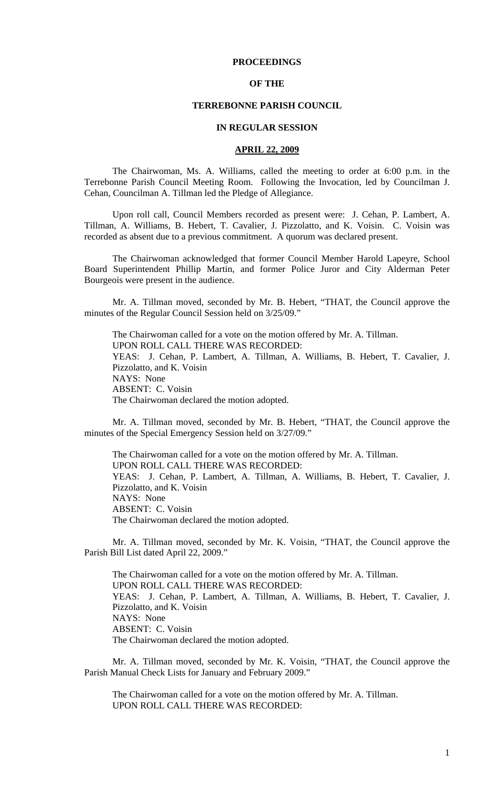## **PROCEEDINGS**

## **OF THE**

## **TERREBONNE PARISH COUNCIL**

### **IN REGULAR SESSION**

#### **APRIL 22, 2009**

 The Chairwoman, Ms. A. Williams, called the meeting to order at 6:00 p.m. in the Terrebonne Parish Council Meeting Room. Following the Invocation, led by Councilman J. Cehan, Councilman A. Tillman led the Pledge of Allegiance.

Upon roll call, Council Members recorded as present were: J. Cehan, P. Lambert, A. Tillman, A. Williams, B. Hebert, T. Cavalier, J. Pizzolatto, and K. Voisin. C. Voisin was recorded as absent due to a previous commitment. A quorum was declared present.

The Chairwoman acknowledged that former Council Member Harold Lapeyre, School Board Superintendent Phillip Martin, and former Police Juror and City Alderman Peter Bourgeois were present in the audience.

Mr. A. Tillman moved, seconded by Mr. B. Hebert, "THAT, the Council approve the minutes of the Regular Council Session held on 3/25/09."

The Chairwoman called for a vote on the motion offered by Mr. A. Tillman. UPON ROLL CALL THERE WAS RECORDED: YEAS: J. Cehan, P. Lambert, A. Tillman, A. Williams, B. Hebert, T. Cavalier, J. Pizzolatto, and K. Voisin NAYS: None ABSENT: C. Voisin The Chairwoman declared the motion adopted.

 Mr. A. Tillman moved, seconded by Mr. B. Hebert, "THAT, the Council approve the minutes of the Special Emergency Session held on 3/27/09."

 The Chairwoman called for a vote on the motion offered by Mr. A. Tillman. UPON ROLL CALL THERE WAS RECORDED: YEAS: J. Cehan, P. Lambert, A. Tillman, A. Williams, B. Hebert, T. Cavalier, J. Pizzolatto, and K. Voisin NAYS: None ABSENT: C. Voisin The Chairwoman declared the motion adopted.

Mr. A. Tillman moved, seconded by Mr. K. Voisin, "THAT, the Council approve the Parish Bill List dated April 22, 2009."

The Chairwoman called for a vote on the motion offered by Mr. A. Tillman. UPON ROLL CALL THERE WAS RECORDED: YEAS: J. Cehan, P. Lambert, A. Tillman, A. Williams, B. Hebert, T. Cavalier, J. Pizzolatto, and K. Voisin NAYS: None ABSENT: C. Voisin The Chairwoman declared the motion adopted.

Mr. A. Tillman moved, seconded by Mr. K. Voisin, "THAT, the Council approve the Parish Manual Check Lists for January and February 2009."

The Chairwoman called for a vote on the motion offered by Mr. A. Tillman. UPON ROLL CALL THERE WAS RECORDED: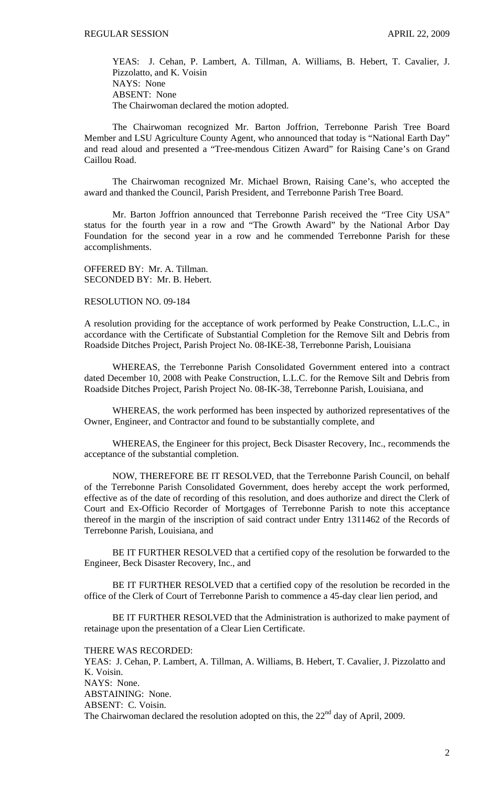YEAS: J. Cehan, P. Lambert, A. Tillman, A. Williams, B. Hebert, T. Cavalier, J. Pizzolatto, and K. Voisin NAYS: None ABSENT: None The Chairwoman declared the motion adopted.

The Chairwoman recognized Mr. Barton Joffrion, Terrebonne Parish Tree Board Member and LSU Agriculture County Agent, who announced that today is "National Earth Day" and read aloud and presented a "Tree-mendous Citizen Award" for Raising Cane's on Grand Caillou Road.

The Chairwoman recognized Mr. Michael Brown, Raising Cane's, who accepted the award and thanked the Council, Parish President, and Terrebonne Parish Tree Board.

Mr. Barton Joffrion announced that Terrebonne Parish received the "Tree City USA" status for the fourth year in a row and "The Growth Award" by the National Arbor Day Foundation for the second year in a row and he commended Terrebonne Parish for these accomplishments.

OFFERED BY: Mr. A. Tillman. SECONDED BY: Mr. B. Hebert.

## RESOLUTION NO. 09-184

A resolution providing for the acceptance of work performed by Peake Construction, L.L.C., in accordance with the Certificate of Substantial Completion for the Remove Silt and Debris from Roadside Ditches Project, Parish Project No. 08-IKE-38, Terrebonne Parish, Louisiana

 WHEREAS, the Terrebonne Parish Consolidated Government entered into a contract dated December 10, 2008 with Peake Construction, L.L.C. for the Remove Silt and Debris from Roadside Ditches Project, Parish Project No. 08-IK-38, Terrebonne Parish, Louisiana, and

 WHEREAS, the work performed has been inspected by authorized representatives of the Owner, Engineer, and Contractor and found to be substantially complete, and

 WHEREAS, the Engineer for this project, Beck Disaster Recovery, Inc., recommends the acceptance of the substantial completion.

 NOW, THEREFORE BE IT RESOLVED, that the Terrebonne Parish Council, on behalf of the Terrebonne Parish Consolidated Government, does hereby accept the work performed, effective as of the date of recording of this resolution, and does authorize and direct the Clerk of Court and Ex-Officio Recorder of Mortgages of Terrebonne Parish to note this acceptance thereof in the margin of the inscription of said contract under Entry 1311462 of the Records of Terrebonne Parish, Louisiana, and

 BE IT FURTHER RESOLVED that a certified copy of the resolution be forwarded to the Engineer, Beck Disaster Recovery, Inc., and

 BE IT FURTHER RESOLVED that a certified copy of the resolution be recorded in the office of the Clerk of Court of Terrebonne Parish to commence a 45-day clear lien period, and

 BE IT FURTHER RESOLVED that the Administration is authorized to make payment of retainage upon the presentation of a Clear Lien Certificate.

THERE WAS RECORDED:

YEAS: J. Cehan, P. Lambert, A. Tillman, A. Williams, B. Hebert, T. Cavalier, J. Pizzolatto and K. Voisin. NAYS: None. ABSTAINING: None. ABSENT: C. Voisin. The Chairwoman declared the resolution adopted on this, the  $22<sup>nd</sup>$  day of April, 2009.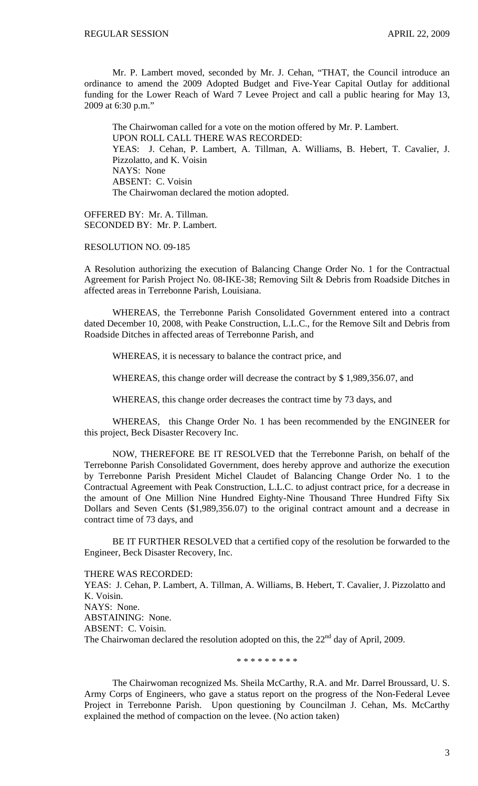Mr. P. Lambert moved, seconded by Mr. J. Cehan, "THAT, the Council introduce an ordinance to amend the 2009 Adopted Budget and Five-Year Capital Outlay for additional funding for the Lower Reach of Ward 7 Levee Project and call a public hearing for May 13, 2009 at 6:30 p.m."

The Chairwoman called for a vote on the motion offered by Mr. P. Lambert. UPON ROLL CALL THERE WAS RECORDED: YEAS: J. Cehan, P. Lambert, A. Tillman, A. Williams, B. Hebert, T. Cavalier, J. Pizzolatto, and K. Voisin NAYS: None ABSENT: C. Voisin The Chairwoman declared the motion adopted.

OFFERED BY: Mr. A. Tillman. SECONDED BY: Mr. P. Lambert.

# RESOLUTION NO. 09-185

A Resolution authorizing the execution of Balancing Change Order No. 1 for the Contractual Agreement for Parish Project No. 08-IKE-38; Removing Silt & Debris from Roadside Ditches in affected areas in Terrebonne Parish, Louisiana.

 WHEREAS, the Terrebonne Parish Consolidated Government entered into a contract dated December 10, 2008, with Peake Construction, L.L.C., for the Remove Silt and Debris from Roadside Ditches in affected areas of Terrebonne Parish, and

WHEREAS, it is necessary to balance the contract price, and

WHEREAS, this change order will decrease the contract by \$ 1,989,356.07, and

WHEREAS, this change order decreases the contract time by 73 days, and

 WHEREAS, this Change Order No. 1 has been recommended by the ENGINEER for this project, Beck Disaster Recovery Inc.

 NOW, THEREFORE BE IT RESOLVED that the Terrebonne Parish, on behalf of the Terrebonne Parish Consolidated Government, does hereby approve and authorize the execution by Terrebonne Parish President Michel Claudet of Balancing Change Order No. 1 to the Contractual Agreement with Peak Construction, L.L.C. to adjust contract price, for a decrease in the amount of One Million Nine Hundred Eighty-Nine Thousand Three Hundred Fifty Six Dollars and Seven Cents (\$1,989,356.07) to the original contract amount and a decrease in contract time of 73 days, and

 BE IT FURTHER RESOLVED that a certified copy of the resolution be forwarded to the Engineer, Beck Disaster Recovery, Inc.

THERE WAS RECORDED: YEAS: J. Cehan, P. Lambert, A. Tillman, A. Williams, B. Hebert, T. Cavalier, J. Pizzolatto and K. Voisin. NAYS: None. ABSTAINING: None. ABSENT: C. Voisin. The Chairwoman declared the resolution adopted on this, the  $22<sup>nd</sup>$  day of April, 2009.

\* \* \* \* \* \* \* \* \*

 The Chairwoman recognized Ms. Sheila McCarthy, R.A. and Mr. Darrel Broussard, U. S. Army Corps of Engineers, who gave a status report on the progress of the Non-Federal Levee Project in Terrebonne Parish. Upon questioning by Councilman J. Cehan, Ms. McCarthy explained the method of compaction on the levee. (No action taken)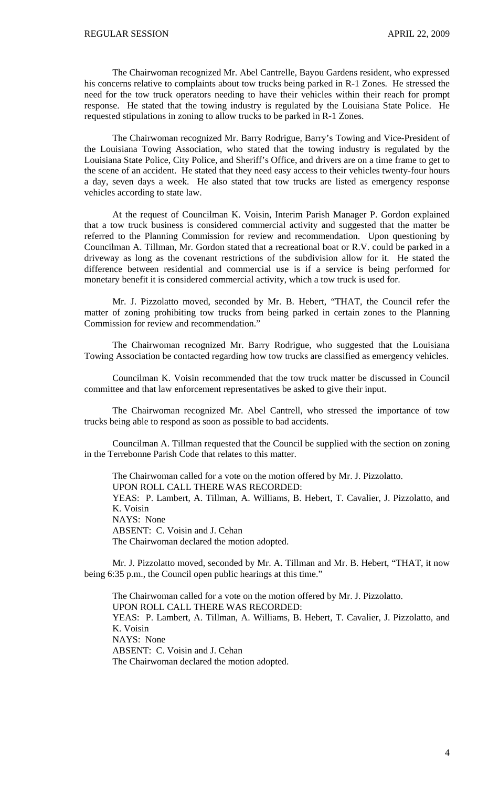The Chairwoman recognized Mr. Abel Cantrelle, Bayou Gardens resident, who expressed his concerns relative to complaints about tow trucks being parked in R-1 Zones. He stressed the need for the tow truck operators needing to have their vehicles within their reach for prompt response. He stated that the towing industry is regulated by the Louisiana State Police. He requested stipulations in zoning to allow trucks to be parked in R-1 Zones.

 The Chairwoman recognized Mr. Barry Rodrigue, Barry's Towing and Vice-President of the Louisiana Towing Association, who stated that the towing industry is regulated by the Louisiana State Police, City Police, and Sheriff's Office, and drivers are on a time frame to get to the scene of an accident. He stated that they need easy access to their vehicles twenty-four hours a day, seven days a week. He also stated that tow trucks are listed as emergency response vehicles according to state law.

 At the request of Councilman K. Voisin, Interim Parish Manager P. Gordon explained that a tow truck business is considered commercial activity and suggested that the matter be referred to the Planning Commission for review and recommendation. Upon questioning by Councilman A. Tillman, Mr. Gordon stated that a recreational boat or R.V. could be parked in a driveway as long as the covenant restrictions of the subdivision allow for it. He stated the difference between residential and commercial use is if a service is being performed for monetary benefit it is considered commercial activity, which a tow truck is used for.

 Mr. J. Pizzolatto moved, seconded by Mr. B. Hebert, "THAT, the Council refer the matter of zoning prohibiting tow trucks from being parked in certain zones to the Planning Commission for review and recommendation."

 The Chairwoman recognized Mr. Barry Rodrigue, who suggested that the Louisiana Towing Association be contacted regarding how tow trucks are classified as emergency vehicles.

 Councilman K. Voisin recommended that the tow truck matter be discussed in Council committee and that law enforcement representatives be asked to give their input.

 The Chairwoman recognized Mr. Abel Cantrell, who stressed the importance of tow trucks being able to respond as soon as possible to bad accidents.

 Councilman A. Tillman requested that the Council be supplied with the section on zoning in the Terrebonne Parish Code that relates to this matter.

 The Chairwoman called for a vote on the motion offered by Mr. J. Pizzolatto. UPON ROLL CALL THERE WAS RECORDED: YEAS: P. Lambert, A. Tillman, A. Williams, B. Hebert, T. Cavalier, J. Pizzolatto, and K. Voisin NAYS: None ABSENT: C. Voisin and J. Cehan The Chairwoman declared the motion adopted.

 Mr. J. Pizzolatto moved, seconded by Mr. A. Tillman and Mr. B. Hebert, "THAT, it now being 6:35 p.m., the Council open public hearings at this time."

 The Chairwoman called for a vote on the motion offered by Mr. J. Pizzolatto. UPON ROLL CALL THERE WAS RECORDED: YEAS: P. Lambert, A. Tillman, A. Williams, B. Hebert, T. Cavalier, J. Pizzolatto, and K. Voisin NAYS: None ABSENT: C. Voisin and J. Cehan The Chairwoman declared the motion adopted.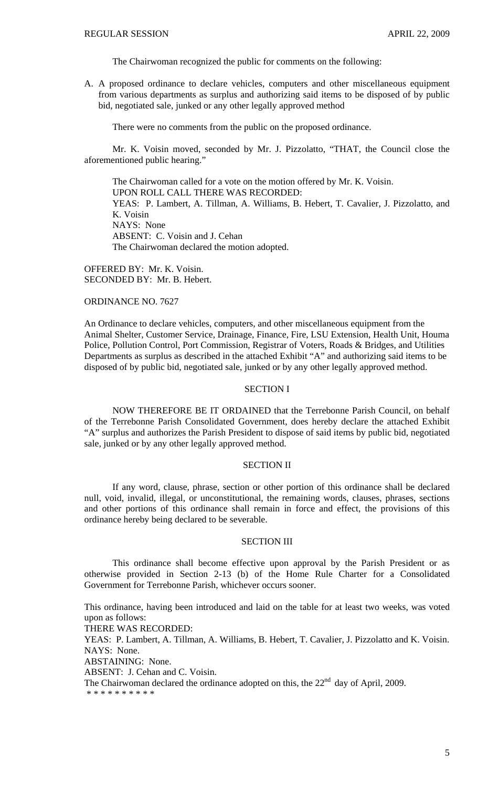The Chairwoman recognized the public for comments on the following:

A. A proposed ordinance to declare vehicles, computers and other miscellaneous equipment from various departments as surplus and authorizing said items to be disposed of by public bid, negotiated sale, junked or any other legally approved method

There were no comments from the public on the proposed ordinance.

 Mr. K. Voisin moved, seconded by Mr. J. Pizzolatto, "THAT, the Council close the aforementioned public hearing."

 The Chairwoman called for a vote on the motion offered by Mr. K. Voisin. UPON ROLL CALL THERE WAS RECORDED: YEAS: P. Lambert, A. Tillman, A. Williams, B. Hebert, T. Cavalier, J. Pizzolatto, and K. Voisin NAYS: None ABSENT: C. Voisin and J. Cehan The Chairwoman declared the motion adopted.

OFFERED BY: Mr. K. Voisin. SECONDED BY: Mr. B. Hebert.

## ORDINANCE NO. 7627

An Ordinance to declare vehicles, computers, and other miscellaneous equipment from the Animal Shelter, Customer Service, Drainage, Finance, Fire, LSU Extension, Health Unit, Houma Police, Pollution Control, Port Commission, Registrar of Voters, Roads & Bridges, and Utilities Departments as surplus as described in the attached Exhibit "A" and authorizing said items to be disposed of by public bid, negotiated sale, junked or by any other legally approved method.

## SECTION I

NOW THEREFORE BE IT ORDAINED that the Terrebonne Parish Council, on behalf of the Terrebonne Parish Consolidated Government, does hereby declare the attached Exhibit "A" surplus and authorizes the Parish President to dispose of said items by public bid, negotiated sale, junked or by any other legally approved method.

## SECTION II

If any word, clause, phrase, section or other portion of this ordinance shall be declared null, void, invalid, illegal, or unconstitutional, the remaining words, clauses, phrases, sections and other portions of this ordinance shall remain in force and effect, the provisions of this ordinance hereby being declared to be severable.

#### SECTION III

This ordinance shall become effective upon approval by the Parish President or as otherwise provided in Section 2-13 (b) of the Home Rule Charter for a Consolidated Government for Terrebonne Parish, whichever occurs sooner.

This ordinance, having been introduced and laid on the table for at least two weeks, was voted upon as follows:

THERE WAS RECORDED:

YEAS: P. Lambert, A. Tillman, A. Williams, B. Hebert, T. Cavalier, J. Pizzolatto and K. Voisin. NAYS: None.

ABSTAINING: None.

ABSENT: J. Cehan and C. Voisin.

The Chairwoman declared the ordinance adopted on this, the  $22<sup>nd</sup>$  day of April, 2009.

\* \* \* \* \* \* \* \* \* \*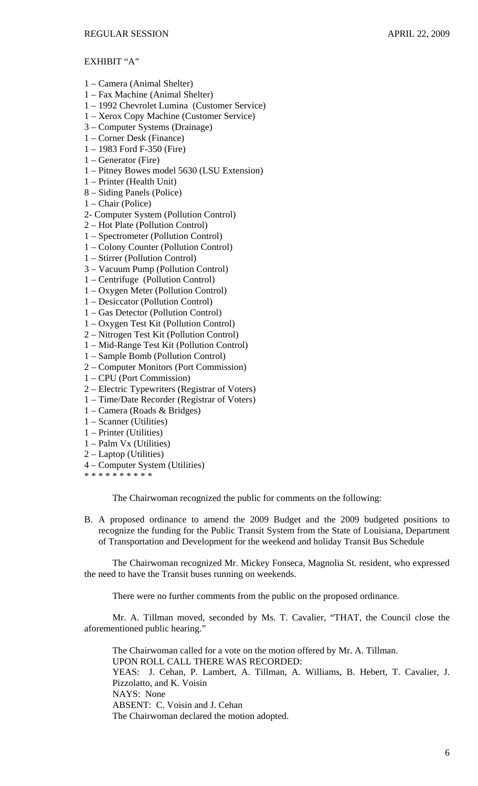# EXHIBIT "A"

- 1 Camera (Animal Shelter)
- 1 Fax Machine (Animal Shelter)
- 1 1992 Chevrolet Lumina (Customer Service)
- 1 Xerox Copy Machine (Customer Service)
- 3 Computer Systems (Drainage)
- 1 Corner Desk (Finance)
- 1 1983 Ford F-350 (Fire)
- 1 Generator (Fire)
- 1 Pitney Bowes model 5630 (LSU Extension)
- 1 Printer (Health Unit)
- 8 Siding Panels (Police)
- 1 Chair (Police)
- 2- Computer System (Pollution Control)
- 2 Hot Plate (Pollution Control)
- 1 Spectrometer (Pollution Control)
- 1 Colony Counter (Pollution Control)
- 1 Stirrer (Pollution Control)
- 3 Vacuum Pump (Pollution Control)
- 1 Centrifuge (Pollution Control)
- 1 Oxygen Meter (Pollution Control)
- 1 Desiccator (Pollution Control)
- 1 Gas Detector (Pollution Control)
- 1 Oxygen Test Kit (Pollution Control)
- 2 Nitrogen Test Kit (Pollution Control)
- 1 Mid-Range Test Kit (Pollution Control)
- 1 Sample Bomb (Pollution Control)
- 2 Computer Monitors (Port Commission)
- 1 CPU (Port Commission)
- 2 Electric Typewriters (Registrar of Voters)
- 1 Time/Date Recorder (Registrar of Voters)
- 1 Camera (Roads & Bridges)
- 1 Scanner (Utilities)
- 1 Printer (Utilities)
- 1 Palm Vx (Utilities)
- 2 Laptop (Utilities)
- 4 Computer System (Utilities)
- \* \* \* \* \* \* \* \* \* \*

The Chairwoman recognized the public for comments on the following:

B. A proposed ordinance to amend the 2009 Budget and the 2009 budgeted positions to recognize the funding for the Public Transit System from the State of Louisiana, Department of Transportation and Development for the weekend and holiday Transit Bus Schedule

 The Chairwoman recognized Mr. Mickey Fonseca, Magnolia St. resident, who expressed the need to have the Transit buses running on weekends.

There were no further comments from the public on the proposed ordinance.

 Mr. A. Tillman moved, seconded by Ms. T. Cavalier, "THAT, the Council close the aforementioned public hearing."

 The Chairwoman called for a vote on the motion offered by Mr. A. Tillman. UPON ROLL CALL THERE WAS RECORDED: YEAS: J. Cehan, P. Lambert, A. Tillman, A. Williams, B. Hebert, T. Cavalier, J. Pizzolatto, and K. Voisin NAYS: None ABSENT: C. Voisin and J. Cehan The Chairwoman declared the motion adopted.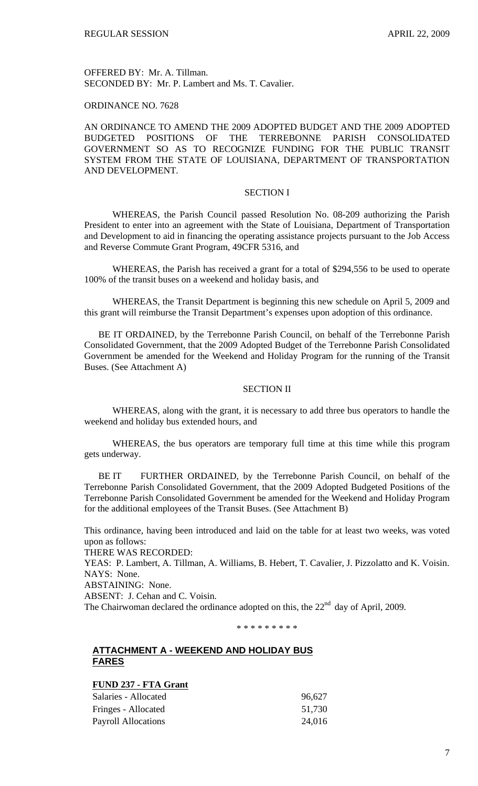OFFERED BY: Mr. A. Tillman. SECONDED BY: Mr. P. Lambert and Ms. T. Cavalier.

## ORDINANCE NO. 7628

AN ORDINANCE TO AMEND THE 2009 ADOPTED BUDGET AND THE 2009 ADOPTED BUDGETED POSITIONS OF THE TERREBONNE PARISH CONSOLIDATED GOVERNMENT SO AS TO RECOGNIZE FUNDING FOR THE PUBLIC TRANSIT SYSTEM FROM THE STATE OF LOUISIANA, DEPARTMENT OF TRANSPORTATION AND DEVELOPMENT.

# SECTION I

WHEREAS, the Parish Council passed Resolution No. 08-209 authorizing the Parish President to enter into an agreement with the State of Louisiana, Department of Transportation and Development to aid in financing the operating assistance projects pursuant to the Job Access and Reverse Commute Grant Program, 49CFR 5316, and

WHEREAS, the Parish has received a grant for a total of \$294,556 to be used to operate 100% of the transit buses on a weekend and holiday basis, and

WHEREAS, the Transit Department is beginning this new schedule on April 5, 2009 and this grant will reimburse the Transit Department's expenses upon adoption of this ordinance.

 BE IT ORDAINED, by the Terrebonne Parish Council, on behalf of the Terrebonne Parish Consolidated Government, that the 2009 Adopted Budget of the Terrebonne Parish Consolidated Government be amended for the Weekend and Holiday Program for the running of the Transit Buses. (See Attachment A)

## SECTION II

WHEREAS, along with the grant, it is necessary to add three bus operators to handle the weekend and holiday bus extended hours, and

WHEREAS, the bus operators are temporary full time at this time while this program gets underway.

 BE IT FURTHER ORDAINED, by the Terrebonne Parish Council, on behalf of the Terrebonne Parish Consolidated Government, that the 2009 Adopted Budgeted Positions of the Terrebonne Parish Consolidated Government be amended for the Weekend and Holiday Program for the additional employees of the Transit Buses. (See Attachment B)

This ordinance, having been introduced and laid on the table for at least two weeks, was voted upon as follows:

THERE WAS RECORDED:

YEAS: P. Lambert, A. Tillman, A. Williams, B. Hebert, T. Cavalier, J. Pizzolatto and K. Voisin. NAYS: None.

ABSTAINING: None.

ABSENT: J. Cehan and C. Voisin.

The Chairwoman declared the ordinance adopted on this, the  $22<sup>nd</sup>$  day of April, 2009.

\* \* \* \* \* \* \* \* \*

# **ATTACHMENT A - WEEKEND AND HOLIDAY BUS FARES**

**FUND 237 - FTA Grant**

| Salaries - Allocated | 96,627 |
|----------------------|--------|
| Fringes - Allocated  | 51,730 |
| Payroll Allocations  | 24,016 |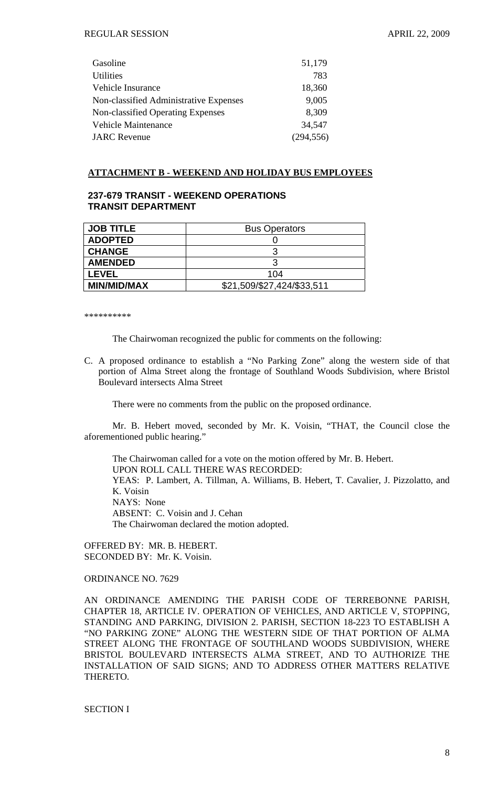| Gasoline                                 | 51,179     |
|------------------------------------------|------------|
| <b>Utilities</b>                         | 783        |
| Vehicle Insurance                        | 18,360     |
| Non-classified Administrative Expenses   | 9,005      |
| <b>Non-classified Operating Expenses</b> | 8,309      |
| <b>Vehicle Maintenance</b>               | 34,547     |
| <b>JARC</b> Revenue                      | (294, 556) |
|                                          |            |

## **ATTACHMENT B - WEEKEND AND HOLIDAY BUS EMPLOYEES**

# **237-679 TRANSIT - WEEKEND OPERATIONS TRANSIT DEPARTMENT**

| <b>JOB TITLE</b>   | <b>Bus Operators</b>       |
|--------------------|----------------------------|
| <b>ADOPTED</b>     |                            |
| <b>CHANGE</b>      |                            |
| <b>AMENDED</b>     |                            |
| <b>LEVEL</b>       | 104                        |
| <b>MIN/MID/MAX</b> | \$21,509/\$27,424/\$33,511 |

\*\*\*\*\*\*\*\*\*\*

The Chairwoman recognized the public for comments on the following:

C. A proposed ordinance to establish a "No Parking Zone" along the western side of that portion of Alma Street along the frontage of Southland Woods Subdivision, where Bristol Boulevard intersects Alma Street

There were no comments from the public on the proposed ordinance.

 Mr. B. Hebert moved, seconded by Mr. K. Voisin, "THAT, the Council close the aforementioned public hearing."

 The Chairwoman called for a vote on the motion offered by Mr. B. Hebert. UPON ROLL CALL THERE WAS RECORDED: YEAS: P. Lambert, A. Tillman, A. Williams, B. Hebert, T. Cavalier, J. Pizzolatto, and K. Voisin NAYS: None ABSENT: C. Voisin and J. Cehan The Chairwoman declared the motion adopted.

OFFERED BY: MR. B. HEBERT. SECONDED BY: Mr. K. Voisin.

ORDINANCE NO. 7629

AN ORDINANCE AMENDING THE PARISH CODE OF TERREBONNE PARISH, CHAPTER 18, ARTICLE IV. OPERATION OF VEHICLES, AND ARTICLE V, STOPPING, STANDING AND PARKING, DIVISION 2. PARISH, SECTION 18-223 TO ESTABLISH A "NO PARKING ZONE" ALONG THE WESTERN SIDE OF THAT PORTION OF ALMA STREET ALONG THE FRONTAGE OF SOUTHLAND WOODS SUBDIVISION, WHERE BRISTOL BOULEVARD INTERSECTS ALMA STREET, AND TO AUTHORIZE THE INSTALLATION OF SAID SIGNS; AND TO ADDRESS OTHER MATTERS RELATIVE THERETO.

SECTION I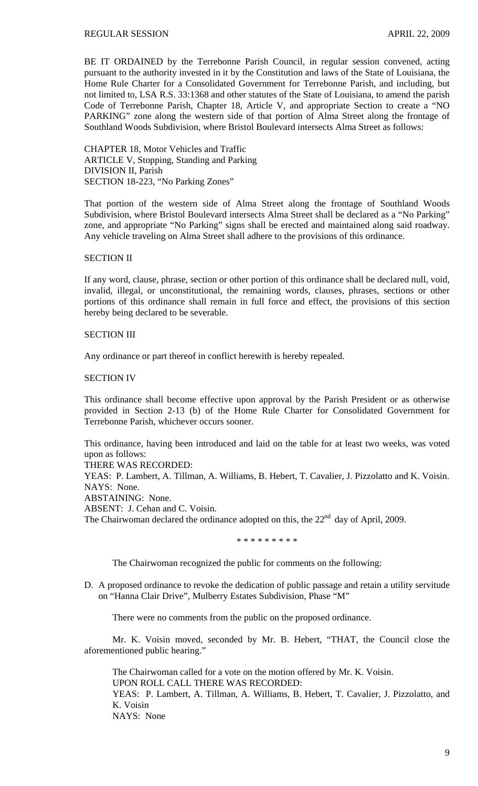BE IT ORDAINED by the Terrebonne Parish Council, in regular session convened, acting pursuant to the authority invested in it by the Constitution and laws of the State of Louisiana, the Home Rule Charter for a Consolidated Government for Terrebonne Parish, and including, but not limited to, LSA R.S. 33:1368 and other statutes of the State of Louisiana, to amend the parish Code of Terrebonne Parish, Chapter 18, Article V, and appropriate Section to create a "NO PARKING" zone along the western side of that portion of Alma Street along the frontage of Southland Woods Subdivision, where Bristol Boulevard intersects Alma Street as follows:

CHAPTER 18, Motor Vehicles and Traffic ARTICLE V, Stopping, Standing and Parking DIVISION II, Parish SECTION 18-223, "No Parking Zones"

That portion of the western side of Alma Street along the frontage of Southland Woods Subdivision, where Bristol Boulevard intersects Alma Street shall be declared as a "No Parking" zone, and appropriate "No Parking" signs shall be erected and maintained along said roadway. Any vehicle traveling on Alma Street shall adhere to the provisions of this ordinance.

## SECTION II

If any word, clause, phrase, section or other portion of this ordinance shall be declared null, void, invalid, illegal, or unconstitutional, the remaining words, clauses, phrases, sections or other portions of this ordinance shall remain in full force and effect, the provisions of this section hereby being declared to be severable.

## SECTION III

Any ordinance or part thereof in conflict herewith is hereby repealed.

## SECTION IV

This ordinance shall become effective upon approval by the Parish President or as otherwise provided in Section 2-13 (b) of the Home Rule Charter for Consolidated Government for Terrebonne Parish, whichever occurs sooner.

This ordinance, having been introduced and laid on the table for at least two weeks, was voted upon as follows:

THERE WAS RECORDED:

YEAS: P. Lambert, A. Tillman, A. Williams, B. Hebert, T. Cavalier, J. Pizzolatto and K. Voisin. NAYS: None.

ABSTAINING: None.

ABSENT: J. Cehan and C. Voisin.

The Chairwoman declared the ordinance adopted on this, the  $22<sup>nd</sup>$  day of April, 2009.

\* \* \* \* \* \* \* \* \*

The Chairwoman recognized the public for comments on the following:

D. A proposed ordinance to revoke the dedication of public passage and retain a utility servitude on "Hanna Clair Drive", Mulberry Estates Subdivision, Phase "M"

There were no comments from the public on the proposed ordinance.

 Mr. K. Voisin moved, seconded by Mr. B. Hebert, "THAT, the Council close the aforementioned public hearing."

 The Chairwoman called for a vote on the motion offered by Mr. K. Voisin. UPON ROLL CALL THERE WAS RECORDED: YEAS: P. Lambert, A. Tillman, A. Williams, B. Hebert, T. Cavalier, J. Pizzolatto, and K. Voisin NAYS: None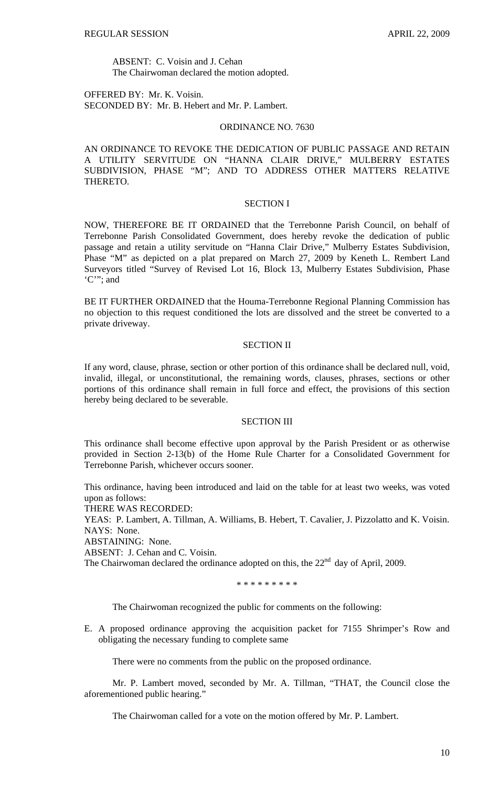ABSENT: C. Voisin and J. Cehan The Chairwoman declared the motion adopted.

OFFERED BY: Mr. K. Voisin. SECONDED BY: Mr. B. Hebert and Mr. P. Lambert.

#### ORDINANCE NO. 7630

AN ORDINANCE TO REVOKE THE DEDICATION OF PUBLIC PASSAGE AND RETAIN A UTILITY SERVITUDE ON "HANNA CLAIR DRIVE," MULBERRY ESTATES SUBDIVISION, PHASE "M"; AND TO ADDRESS OTHER MATTERS RELATIVE THERETO.

### SECTION I

NOW, THEREFORE BE IT ORDAINED that the Terrebonne Parish Council, on behalf of Terrebonne Parish Consolidated Government, does hereby revoke the dedication of public passage and retain a utility servitude on "Hanna Clair Drive," Mulberry Estates Subdivision, Phase "M" as depicted on a plat prepared on March 27, 2009 by Keneth L. Rembert Land Surveyors titled "Survey of Revised Lot 16, Block 13, Mulberry Estates Subdivision, Phase 'C'"; and

BE IT FURTHER ORDAINED that the Houma-Terrebonne Regional Planning Commission has no objection to this request conditioned the lots are dissolved and the street be converted to a private driveway.

### SECTION II

If any word, clause, phrase, section or other portion of this ordinance shall be declared null, void, invalid, illegal, or unconstitutional, the remaining words, clauses, phrases, sections or other portions of this ordinance shall remain in full force and effect, the provisions of this section hereby being declared to be severable.

# SECTION III

This ordinance shall become effective upon approval by the Parish President or as otherwise provided in Section 2-13(b) of the Home Rule Charter for a Consolidated Government for Terrebonne Parish, whichever occurs sooner.

This ordinance, having been introduced and laid on the table for at least two weeks, was voted upon as follows:

THERE WAS RECORDED:

YEAS: P. Lambert, A. Tillman, A. Williams, B. Hebert, T. Cavalier, J. Pizzolatto and K. Voisin. NAYS: None.

ABSTAINING: None.

ABSENT: J. Cehan and C. Voisin.

The Chairwoman declared the ordinance adopted on this, the  $22<sup>nd</sup>$  day of April, 2009.

\* \* \* \* \* \* \* \* \*

The Chairwoman recognized the public for comments on the following:

E. A proposed ordinance approving the acquisition packet for 7155 Shrimper's Row and obligating the necessary funding to complete same

There were no comments from the public on the proposed ordinance.

 Mr. P. Lambert moved, seconded by Mr. A. Tillman, "THAT, the Council close the aforementioned public hearing."

The Chairwoman called for a vote on the motion offered by Mr. P. Lambert.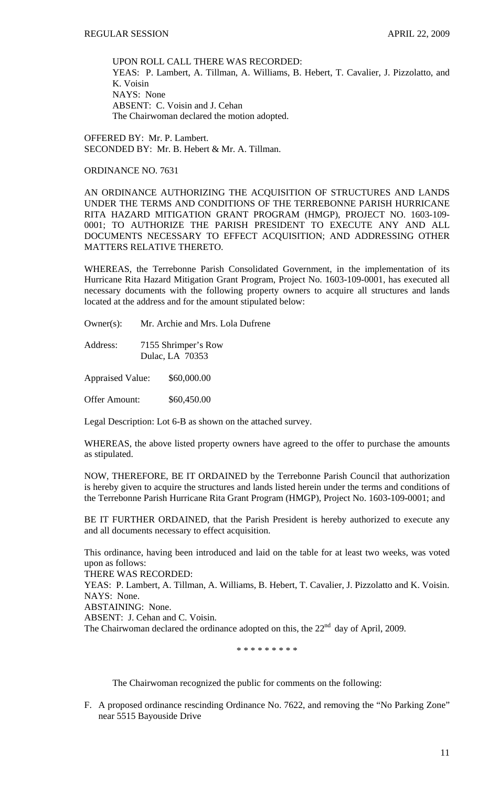UPON ROLL CALL THERE WAS RECORDED: YEAS: P. Lambert, A. Tillman, A. Williams, B. Hebert, T. Cavalier, J. Pizzolatto, and K. Voisin NAYS: None ABSENT: C. Voisin and J. Cehan The Chairwoman declared the motion adopted.

OFFERED BY: Mr. P. Lambert. SECONDED BY: Mr. B. Hebert & Mr. A. Tillman.

ORDINANCE NO. 7631

AN ORDINANCE AUTHORIZING THE ACQUISITION OF STRUCTURES AND LANDS UNDER THE TERMS AND CONDITIONS OF THE TERREBONNE PARISH HURRICANE RITA HAZARD MITIGATION GRANT PROGRAM (HMGP), PROJECT NO. 1603-109- 0001; TO AUTHORIZE THE PARISH PRESIDENT TO EXECUTE ANY AND ALL DOCUMENTS NECESSARY TO EFFECT ACQUISITION; AND ADDRESSING OTHER MATTERS RELATIVE THERETO.

WHEREAS, the Terrebonne Parish Consolidated Government, in the implementation of its Hurricane Rita Hazard Mitigation Grant Program, Project No. 1603-109-0001, has executed all necessary documents with the following property owners to acquire all structures and lands located at the address and for the amount stipulated below:

Owner(s): Mr. Archie and Mrs. Lola Dufrene

Address: 7155 Shrimper's Row Dulac, LA 70353

Appraised Value: \$60,000.00

Offer Amount: \$60,450.00

Legal Description: Lot 6-B as shown on the attached survey.

WHEREAS, the above listed property owners have agreed to the offer to purchase the amounts as stipulated.

NOW, THEREFORE, BE IT ORDAINED by the Terrebonne Parish Council that authorization is hereby given to acquire the structures and lands listed herein under the terms and conditions of the Terrebonne Parish Hurricane Rita Grant Program (HMGP), Project No. 1603-109-0001; and

BE IT FURTHER ORDAINED, that the Parish President is hereby authorized to execute any and all documents necessary to effect acquisition.

This ordinance, having been introduced and laid on the table for at least two weeks, was voted upon as follows:

THERE WAS RECORDED:

YEAS: P. Lambert, A. Tillman, A. Williams, B. Hebert, T. Cavalier, J. Pizzolatto and K. Voisin. NAYS: None.

ABSTAINING: None.

ABSENT: J. Cehan and C. Voisin.

The Chairwoman declared the ordinance adopted on this, the  $22<sup>nd</sup>$  day of April, 2009.

\* \* \* \* \* \* \* \* \*

The Chairwoman recognized the public for comments on the following:

F. A proposed ordinance rescinding Ordinance No. 7622, and removing the "No Parking Zone" near 5515 Bayouside Drive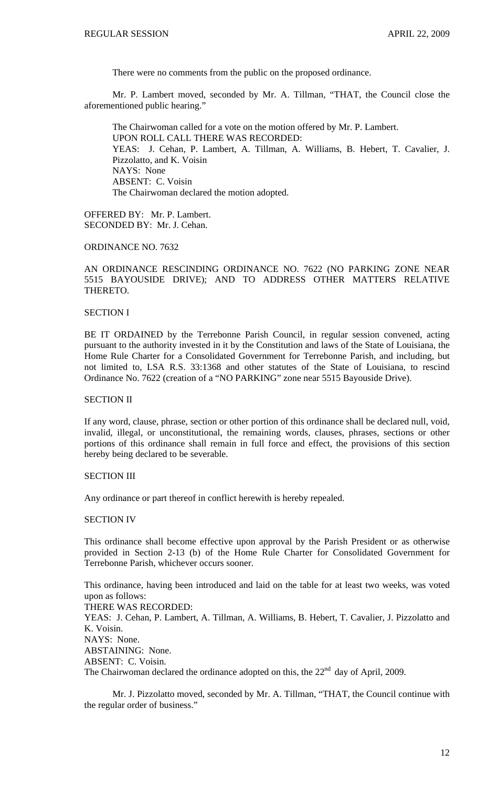There were no comments from the public on the proposed ordinance.

 Mr. P. Lambert moved, seconded by Mr. A. Tillman, "THAT, the Council close the aforementioned public hearing."

 The Chairwoman called for a vote on the motion offered by Mr. P. Lambert. UPON ROLL CALL THERE WAS RECORDED: YEAS: J. Cehan, P. Lambert, A. Tillman, A. Williams, B. Hebert, T. Cavalier, J. Pizzolatto, and K. Voisin NAYS: None ABSENT: C. Voisin The Chairwoman declared the motion adopted.

OFFERED BY: Mr. P. Lambert. SECONDED BY: Mr. J. Cehan.

### ORDINANCE NO. 7632

## AN ORDINANCE RESCINDING ORDINANCE NO. 7622 (NO PARKING ZONE NEAR 5515 BAYOUSIDE DRIVE); AND TO ADDRESS OTHER MATTERS RELATIVE THERETO.

## SECTION I

BE IT ORDAINED by the Terrebonne Parish Council, in regular session convened, acting pursuant to the authority invested in it by the Constitution and laws of the State of Louisiana, the Home Rule Charter for a Consolidated Government for Terrebonne Parish, and including, but not limited to, LSA R.S. 33:1368 and other statutes of the State of Louisiana, to rescind Ordinance No. 7622 (creation of a "NO PARKING" zone near 5515 Bayouside Drive).

## SECTION II

If any word, clause, phrase, section or other portion of this ordinance shall be declared null, void, invalid, illegal, or unconstitutional, the remaining words, clauses, phrases, sections or other portions of this ordinance shall remain in full force and effect, the provisions of this section hereby being declared to be severable.

#### SECTION III

Any ordinance or part thereof in conflict herewith is hereby repealed.

#### SECTION IV

This ordinance shall become effective upon approval by the Parish President or as otherwise provided in Section 2-13 (b) of the Home Rule Charter for Consolidated Government for Terrebonne Parish, whichever occurs sooner.

This ordinance, having been introduced and laid on the table for at least two weeks, was voted upon as follows:

THERE WAS RECORDED: YEAS: J. Cehan, P. Lambert, A. Tillman, A. Williams, B. Hebert, T. Cavalier, J. Pizzolatto and K. Voisin. NAYS: None. ABSTAINING: None. ABSENT: C. Voisin.

The Chairwoman declared the ordinance adopted on this, the  $22<sup>nd</sup>$  day of April, 2009.

Mr. J. Pizzolatto moved, seconded by Mr. A. Tillman, "THAT, the Council continue with the regular order of business."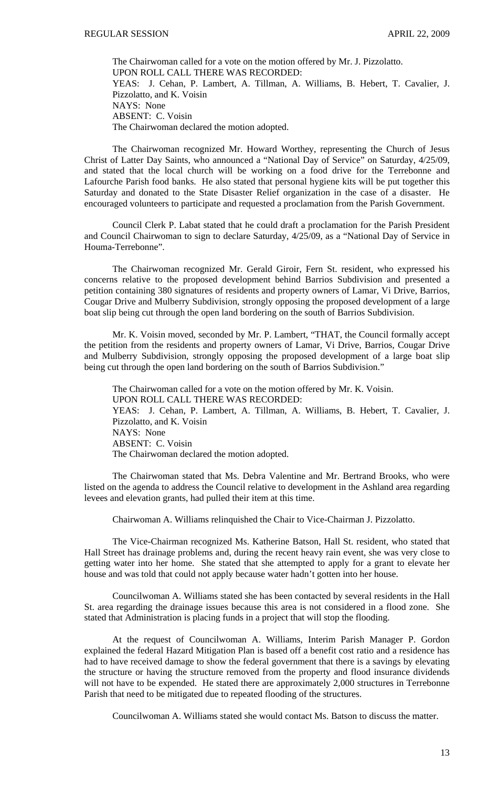The Chairwoman called for a vote on the motion offered by Mr. J. Pizzolatto. UPON ROLL CALL THERE WAS RECORDED: YEAS: J. Cehan, P. Lambert, A. Tillman, A. Williams, B. Hebert, T. Cavalier, J. Pizzolatto, and K. Voisin NAYS: None ABSENT: C. Voisin The Chairwoman declared the motion adopted.

 The Chairwoman recognized Mr. Howard Worthey, representing the Church of Jesus Christ of Latter Day Saints, who announced a "National Day of Service" on Saturday, 4/25/09, and stated that the local church will be working on a food drive for the Terrebonne and Lafourche Parish food banks. He also stated that personal hygiene kits will be put together this Saturday and donated to the State Disaster Relief organization in the case of a disaster. He encouraged volunteers to participate and requested a proclamation from the Parish Government.

 Council Clerk P. Labat stated that he could draft a proclamation for the Parish President and Council Chairwoman to sign to declare Saturday, 4/25/09, as a "National Day of Service in Houma-Terrebonne".

 The Chairwoman recognized Mr. Gerald Giroir, Fern St. resident, who expressed his concerns relative to the proposed development behind Barrios Subdivision and presented a petition containing 380 signatures of residents and property owners of Lamar, Vi Drive, Barrios, Cougar Drive and Mulberry Subdivision, strongly opposing the proposed development of a large boat slip being cut through the open land bordering on the south of Barrios Subdivision.

 Mr. K. Voisin moved, seconded by Mr. P. Lambert, "THAT, the Council formally accept the petition from the residents and property owners of Lamar, Vi Drive, Barrios, Cougar Drive and Mulberry Subdivision, strongly opposing the proposed development of a large boat slip being cut through the open land bordering on the south of Barrios Subdivision."

 The Chairwoman called for a vote on the motion offered by Mr. K. Voisin. UPON ROLL CALL THERE WAS RECORDED: YEAS: J. Cehan, P. Lambert, A. Tillman, A. Williams, B. Hebert, T. Cavalier, J. Pizzolatto, and K. Voisin NAYS: None ABSENT: C. Voisin The Chairwoman declared the motion adopted.

 The Chairwoman stated that Ms. Debra Valentine and Mr. Bertrand Brooks, who were listed on the agenda to address the Council relative to development in the Ashland area regarding levees and elevation grants, had pulled their item at this time.

Chairwoman A. Williams relinquished the Chair to Vice-Chairman J. Pizzolatto.

 The Vice-Chairman recognized Ms. Katherine Batson, Hall St. resident, who stated that Hall Street has drainage problems and, during the recent heavy rain event, she was very close to getting water into her home. She stated that she attempted to apply for a grant to elevate her house and was told that could not apply because water hadn't gotten into her house.

 Councilwoman A. Williams stated she has been contacted by several residents in the Hall St. area regarding the drainage issues because this area is not considered in a flood zone. She stated that Administration is placing funds in a project that will stop the flooding.

 At the request of Councilwoman A. Williams, Interim Parish Manager P. Gordon explained the federal Hazard Mitigation Plan is based off a benefit cost ratio and a residence has had to have received damage to show the federal government that there is a savings by elevating the structure or having the structure removed from the property and flood insurance dividends will not have to be expended. He stated there are approximately 2,000 structures in Terrebonne Parish that need to be mitigated due to repeated flooding of the structures.

Councilwoman A. Williams stated she would contact Ms. Batson to discuss the matter.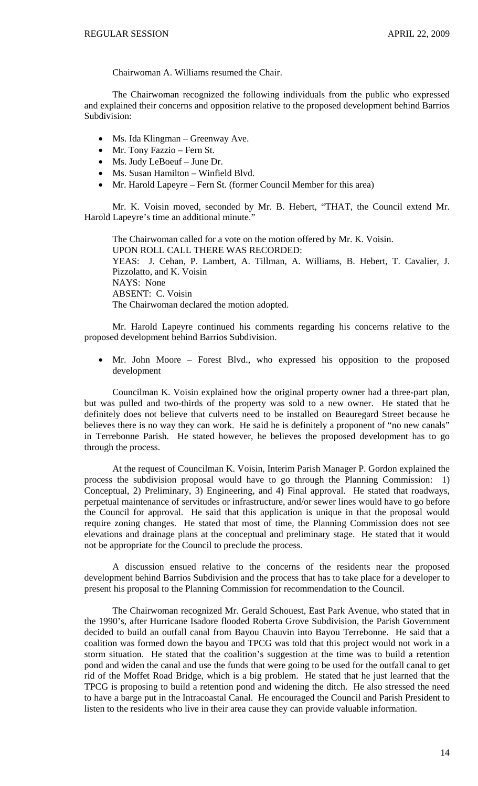Chairwoman A. Williams resumed the Chair.

 The Chairwoman recognized the following individuals from the public who expressed and explained their concerns and opposition relative to the proposed development behind Barrios Subdivision:

- Ms. Ida Klingman Greenway Ave.
- Mr. Tony Fazzio Fern St.
- Ms. Judy LeBoeuf June Dr.
- Ms. Susan Hamilton Winfield Blvd.
- Mr. Harold Lapeyre Fern St. (former Council Member for this area)

Mr. K. Voisin moved, seconded by Mr. B. Hebert, "THAT, the Council extend Mr. Harold Lapeyre's time an additional minute."

The Chairwoman called for a vote on the motion offered by Mr. K. Voisin. UPON ROLL CALL THERE WAS RECORDED: YEAS: J. Cehan, P. Lambert, A. Tillman, A. Williams, B. Hebert, T. Cavalier, J. Pizzolatto, and K. Voisin NAYS: None ABSENT: C. Voisin The Chairwoman declared the motion adopted.

Mr. Harold Lapeyre continued his comments regarding his concerns relative to the proposed development behind Barrios Subdivision.

• Mr. John Moore – Forest Blvd., who expressed his opposition to the proposed development

Councilman K. Voisin explained how the original property owner had a three-part plan, but was pulled and two-thirds of the property was sold to a new owner. He stated that he definitely does not believe that culverts need to be installed on Beauregard Street because he believes there is no way they can work. He said he is definitely a proponent of "no new canals" in Terrebonne Parish. He stated however, he believes the proposed development has to go through the process.

At the request of Councilman K. Voisin, Interim Parish Manager P. Gordon explained the process the subdivision proposal would have to go through the Planning Commission: 1) Conceptual, 2) Preliminary, 3) Engineering, and 4) Final approval. He stated that roadways, perpetual maintenance of servitudes or infrastructure, and/or sewer lines would have to go before the Council for approval. He said that this application is unique in that the proposal would require zoning changes. He stated that most of time, the Planning Commission does not see elevations and drainage plans at the conceptual and preliminary stage. He stated that it would not be appropriate for the Council to preclude the process.

A discussion ensued relative to the concerns of the residents near the proposed development behind Barrios Subdivision and the process that has to take place for a developer to present his proposal to the Planning Commission for recommendation to the Council.

The Chairwoman recognized Mr. Gerald Schouest, East Park Avenue, who stated that in the 1990's, after Hurricane Isadore flooded Roberta Grove Subdivision, the Parish Government decided to build an outfall canal from Bayou Chauvin into Bayou Terrebonne. He said that a coalition was formed down the bayou and TPCG was told that this project would not work in a storm situation. He stated that the coalition's suggestion at the time was to build a retention pond and widen the canal and use the funds that were going to be used for the outfall canal to get rid of the Moffet Road Bridge, which is a big problem. He stated that he just learned that the TPCG is proposing to build a retention pond and widening the ditch. He also stressed the need to have a barge put in the Intracoastal Canal. He encouraged the Council and Parish President to listen to the residents who live in their area cause they can provide valuable information.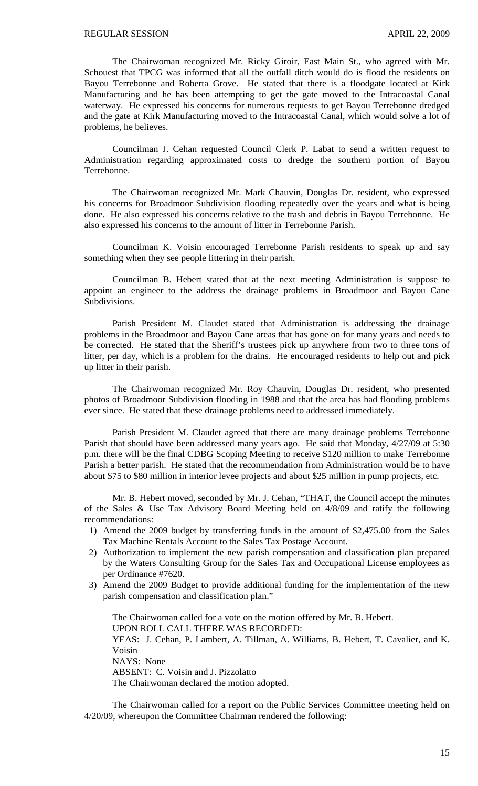The Chairwoman recognized Mr. Ricky Giroir, East Main St., who agreed with Mr. Schouest that TPCG was informed that all the outfall ditch would do is flood the residents on Bayou Terrebonne and Roberta Grove. He stated that there is a floodgate located at Kirk Manufacturing and he has been attempting to get the gate moved to the Intracoastal Canal waterway. He expressed his concerns for numerous requests to get Bayou Terrebonne dredged and the gate at Kirk Manufacturing moved to the Intracoastal Canal, which would solve a lot of problems, he believes.

Councilman J. Cehan requested Council Clerk P. Labat to send a written request to Administration regarding approximated costs to dredge the southern portion of Bayou Terrebonne.

The Chairwoman recognized Mr. Mark Chauvin, Douglas Dr. resident, who expressed his concerns for Broadmoor Subdivision flooding repeatedly over the years and what is being done. He also expressed his concerns relative to the trash and debris in Bayou Terrebonne. He also expressed his concerns to the amount of litter in Terrebonne Parish.

Councilman K. Voisin encouraged Terrebonne Parish residents to speak up and say something when they see people littering in their parish.

Councilman B. Hebert stated that at the next meeting Administration is suppose to appoint an engineer to the address the drainage problems in Broadmoor and Bayou Cane Subdivisions.

Parish President M. Claudet stated that Administration is addressing the drainage problems in the Broadmoor and Bayou Cane areas that has gone on for many years and needs to be corrected. He stated that the Sheriff's trustees pick up anywhere from two to three tons of litter, per day, which is a problem for the drains. He encouraged residents to help out and pick up litter in their parish.

The Chairwoman recognized Mr. Roy Chauvin, Douglas Dr. resident, who presented photos of Broadmoor Subdivision flooding in 1988 and that the area has had flooding problems ever since. He stated that these drainage problems need to addressed immediately.

Parish President M. Claudet agreed that there are many drainage problems Terrebonne Parish that should have been addressed many years ago. He said that Monday, 4/27/09 at 5:30 p.m. there will be the final CDBG Scoping Meeting to receive \$120 million to make Terrebonne Parish a better parish. He stated that the recommendation from Administration would be to have about \$75 to \$80 million in interior levee projects and about \$25 million in pump projects, etc.

 Mr. B. Hebert moved, seconded by Mr. J. Cehan, "THAT, the Council accept the minutes of the Sales & Use Tax Advisory Board Meeting held on 4/8/09 and ratify the following recommendations:

- 1) Amend the 2009 budget by transferring funds in the amount of \$2,475.00 from the Sales Tax Machine Rentals Account to the Sales Tax Postage Account.
- 2) Authorization to implement the new parish compensation and classification plan prepared by the Waters Consulting Group for the Sales Tax and Occupational License employees as per Ordinance #7620.
- 3) Amend the 2009 Budget to provide additional funding for the implementation of the new parish compensation and classification plan."

The Chairwoman called for a vote on the motion offered by Mr. B. Hebert. UPON ROLL CALL THERE WAS RECORDED: YEAS: J. Cehan, P. Lambert, A. Tillman, A. Williams, B. Hebert, T. Cavalier, and K. Voisin NAYS: None ABSENT: C. Voisin and J. Pizzolatto The Chairwoman declared the motion adopted.

 The Chairwoman called for a report on the Public Services Committee meeting held on 4/20/09, whereupon the Committee Chairman rendered the following: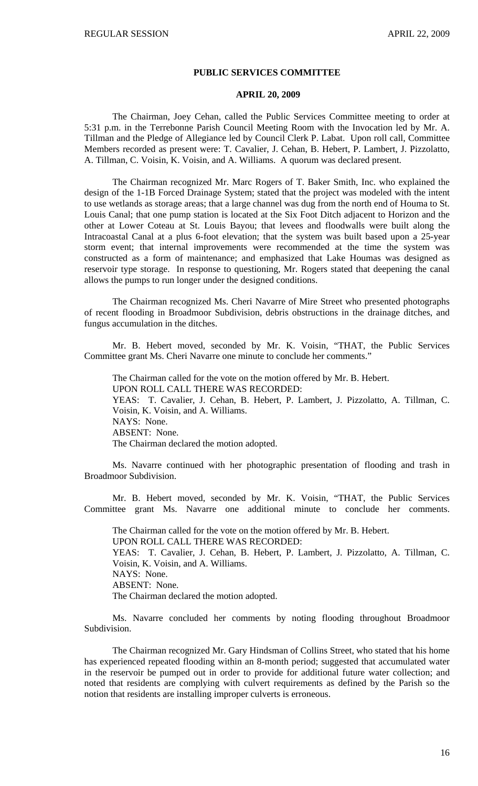#### **PUBLIC SERVICES COMMITTEE**

## **APRIL 20, 2009**

 The Chairman, Joey Cehan, called the Public Services Committee meeting to order at 5:31 p.m. in the Terrebonne Parish Council Meeting Room with the Invocation led by Mr. A. Tillman and the Pledge of Allegiance led by Council Clerk P. Labat. Upon roll call, Committee Members recorded as present were: T. Cavalier, J. Cehan, B. Hebert, P. Lambert, J. Pizzolatto, A. Tillman, C. Voisin, K. Voisin, and A. Williams. A quorum was declared present.

 The Chairman recognized Mr. Marc Rogers of T. Baker Smith, Inc. who explained the design of the 1-1B Forced Drainage System; stated that the project was modeled with the intent to use wetlands as storage areas; that a large channel was dug from the north end of Houma to St. Louis Canal; that one pump station is located at the Six Foot Ditch adjacent to Horizon and the other at Lower Coteau at St. Louis Bayou; that levees and floodwalls were built along the Intracoastal Canal at a plus 6-foot elevation; that the system was built based upon a 25-year storm event; that internal improvements were recommended at the time the system was constructed as a form of maintenance; and emphasized that Lake Houmas was designed as reservoir type storage. In response to questioning, Mr. Rogers stated that deepening the canal allows the pumps to run longer under the designed conditions.

 The Chairman recognized Ms. Cheri Navarre of Mire Street who presented photographs of recent flooding in Broadmoor Subdivision, debris obstructions in the drainage ditches, and fungus accumulation in the ditches.

 Mr. B. Hebert moved, seconded by Mr. K. Voisin, "THAT, the Public Services Committee grant Ms. Cheri Navarre one minute to conclude her comments."

 The Chairman called for the vote on the motion offered by Mr. B. Hebert. UPON ROLL CALL THERE WAS RECORDED: YEAS: T. Cavalier, J. Cehan, B. Hebert, P. Lambert, J. Pizzolatto, A. Tillman, C. Voisin, K. Voisin, and A. Williams. NAYS: None. ABSENT: None. The Chairman declared the motion adopted.

 Ms. Navarre continued with her photographic presentation of flooding and trash in Broadmoor Subdivision.

 Mr. B. Hebert moved, seconded by Mr. K. Voisin, "THAT, the Public Services Committee grant Ms. Navarre one additional minute to conclude her comments.

The Chairman called for the vote on the motion offered by Mr. B. Hebert. UPON ROLL CALL THERE WAS RECORDED: YEAS: T. Cavalier, J. Cehan, B. Hebert, P. Lambert, J. Pizzolatto, A. Tillman, C. Voisin, K. Voisin, and A. Williams. NAYS: None. ABSENT: None. The Chairman declared the motion adopted.

 Ms. Navarre concluded her comments by noting flooding throughout Broadmoor Subdivision.

 The Chairman recognized Mr. Gary Hindsman of Collins Street, who stated that his home has experienced repeated flooding within an 8-month period; suggested that accumulated water in the reservoir be pumped out in order to provide for additional future water collection; and noted that residents are complying with culvert requirements as defined by the Parish so the notion that residents are installing improper culverts is erroneous.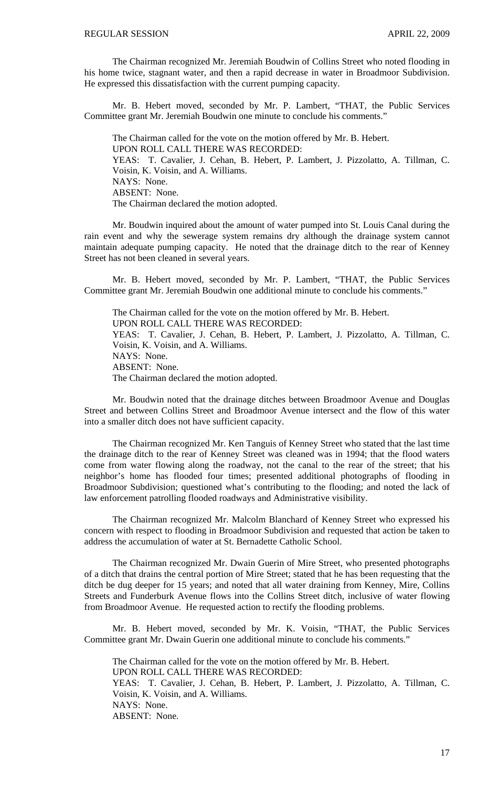The Chairman recognized Mr. Jeremiah Boudwin of Collins Street who noted flooding in his home twice, stagnant water, and then a rapid decrease in water in Broadmoor Subdivision. He expressed this dissatisfaction with the current pumping capacity.

 Mr. B. Hebert moved, seconded by Mr. P. Lambert, "THAT, the Public Services Committee grant Mr. Jeremiah Boudwin one minute to conclude his comments."

The Chairman called for the vote on the motion offered by Mr. B. Hebert. UPON ROLL CALL THERE WAS RECORDED: YEAS: T. Cavalier, J. Cehan, B. Hebert, P. Lambert, J. Pizzolatto, A. Tillman, C. Voisin, K. Voisin, and A. Williams. NAYS: None. ABSENT: None. The Chairman declared the motion adopted.

 Mr. Boudwin inquired about the amount of water pumped into St. Louis Canal during the rain event and why the sewerage system remains dry although the drainage system cannot maintain adequate pumping capacity. He noted that the drainage ditch to the rear of Kenney Street has not been cleaned in several years.

 Mr. B. Hebert moved, seconded by Mr. P. Lambert, "THAT, the Public Services Committee grant Mr. Jeremiah Boudwin one additional minute to conclude his comments."

The Chairman called for the vote on the motion offered by Mr. B. Hebert. UPON ROLL CALL THERE WAS RECORDED: YEAS: T. Cavalier, J. Cehan, B. Hebert, P. Lambert, J. Pizzolatto, A. Tillman, C. Voisin, K. Voisin, and A. Williams. NAYS: None. ABSENT: None. The Chairman declared the motion adopted.

 Mr. Boudwin noted that the drainage ditches between Broadmoor Avenue and Douglas Street and between Collins Street and Broadmoor Avenue intersect and the flow of this water into a smaller ditch does not have sufficient capacity.

 The Chairman recognized Mr. Ken Tanguis of Kenney Street who stated that the last time the drainage ditch to the rear of Kenney Street was cleaned was in 1994; that the flood waters come from water flowing along the roadway, not the canal to the rear of the street; that his neighbor's home has flooded four times; presented additional photographs of flooding in Broadmoor Subdivision; questioned what's contributing to the flooding; and noted the lack of law enforcement patrolling flooded roadways and Administrative visibility.

 The Chairman recognized Mr. Malcolm Blanchard of Kenney Street who expressed his concern with respect to flooding in Broadmoor Subdivision and requested that action be taken to address the accumulation of water at St. Bernadette Catholic School.

 The Chairman recognized Mr. Dwain Guerin of Mire Street, who presented photographs of a ditch that drains the central portion of Mire Street; stated that he has been requesting that the ditch be dug deeper for 15 years; and noted that all water draining from Kenney, Mire, Collins Streets and Funderburk Avenue flows into the Collins Street ditch, inclusive of water flowing from Broadmoor Avenue. He requested action to rectify the flooding problems.

 Mr. B. Hebert moved, seconded by Mr. K. Voisin, "THAT, the Public Services Committee grant Mr. Dwain Guerin one additional minute to conclude his comments."

The Chairman called for the vote on the motion offered by Mr. B. Hebert. UPON ROLL CALL THERE WAS RECORDED: YEAS: T. Cavalier, J. Cehan, B. Hebert, P. Lambert, J. Pizzolatto, A. Tillman, C. Voisin, K. Voisin, and A. Williams. NAYS: None. ABSENT: None.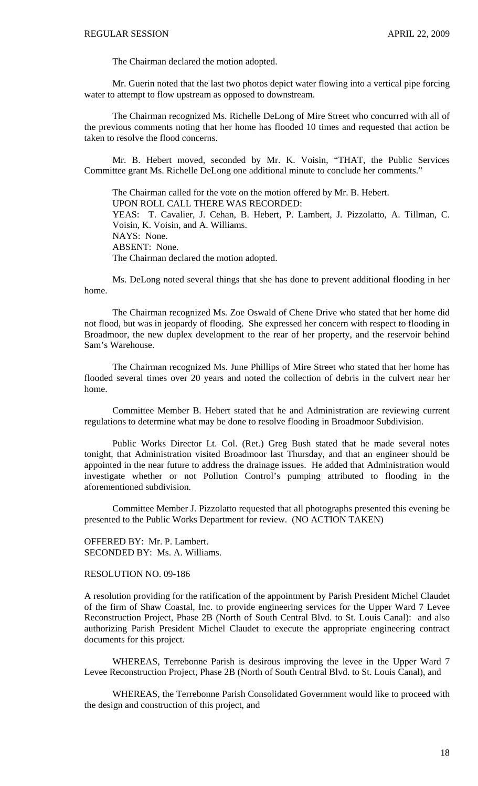The Chairman declared the motion adopted.

 Mr. Guerin noted that the last two photos depict water flowing into a vertical pipe forcing water to attempt to flow upstream as opposed to downstream.

 The Chairman recognized Ms. Richelle DeLong of Mire Street who concurred with all of the previous comments noting that her home has flooded 10 times and requested that action be taken to resolve the flood concerns.

 Mr. B. Hebert moved, seconded by Mr. K. Voisin, "THAT, the Public Services Committee grant Ms. Richelle DeLong one additional minute to conclude her comments."

The Chairman called for the vote on the motion offered by Mr. B. Hebert. UPON ROLL CALL THERE WAS RECORDED: YEAS: T. Cavalier, J. Cehan, B. Hebert, P. Lambert, J. Pizzolatto, A. Tillman, C. Voisin, K. Voisin, and A. Williams. NAYS: None. ABSENT: None. The Chairman declared the motion adopted.

 Ms. DeLong noted several things that she has done to prevent additional flooding in her home.

 The Chairman recognized Ms. Zoe Oswald of Chene Drive who stated that her home did not flood, but was in jeopardy of flooding. She expressed her concern with respect to flooding in Broadmoor, the new duplex development to the rear of her property, and the reservoir behind Sam's Warehouse.

 The Chairman recognized Ms. June Phillips of Mire Street who stated that her home has flooded several times over 20 years and noted the collection of debris in the culvert near her home.

 Committee Member B. Hebert stated that he and Administration are reviewing current regulations to determine what may be done to resolve flooding in Broadmoor Subdivision.

 Public Works Director Lt. Col. (Ret.) Greg Bush stated that he made several notes tonight, that Administration visited Broadmoor last Thursday, and that an engineer should be appointed in the near future to address the drainage issues. He added that Administration would investigate whether or not Pollution Control's pumping attributed to flooding in the aforementioned subdivision.

Committee Member J. Pizzolatto requested that all photographs presented this evening be presented to the Public Works Department for review. (NO ACTION TAKEN)

OFFERED BY: Mr. P. Lambert. SECONDED BY: Ms. A. Williams.

RESOLUTION NO. 09-186

A resolution providing for the ratification of the appointment by Parish President Michel Claudet of the firm of Shaw Coastal, Inc. to provide engineering services for the Upper Ward 7 Levee Reconstruction Project, Phase 2B (North of South Central Blvd. to St. Louis Canal): and also authorizing Parish President Michel Claudet to execute the appropriate engineering contract documents for this project.

WHEREAS, Terrebonne Parish is desirous improving the levee in the Upper Ward 7 Levee Reconstruction Project, Phase 2B (North of South Central Blvd. to St. Louis Canal), and

WHEREAS, the Terrebonne Parish Consolidated Government would like to proceed with the design and construction of this project, and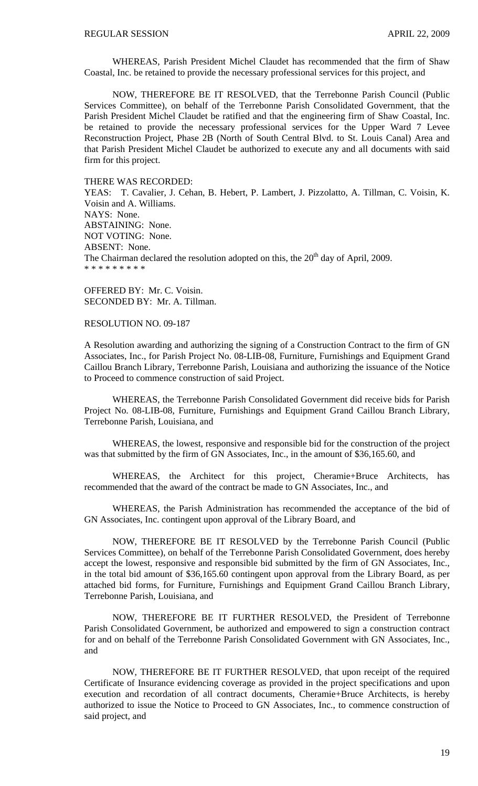WHEREAS, Parish President Michel Claudet has recommended that the firm of Shaw Coastal, Inc. be retained to provide the necessary professional services for this project, and

NOW, THEREFORE BE IT RESOLVED, that the Terrebonne Parish Council (Public Services Committee), on behalf of the Terrebonne Parish Consolidated Government, that the Parish President Michel Claudet be ratified and that the engineering firm of Shaw Coastal, Inc. be retained to provide the necessary professional services for the Upper Ward 7 Levee Reconstruction Project, Phase 2B (North of South Central Blvd. to St. Louis Canal) Area and that Parish President Michel Claudet be authorized to execute any and all documents with said firm for this project.

#### THERE WAS RECORDED:

YEAS: T. Cavalier, J. Cehan, B. Hebert, P. Lambert, J. Pizzolatto, A. Tillman, C. Voisin, K. Voisin and A. Williams. NAYS: None. ABSTAINING: None. NOT VOTING: None. ABSENT: None. The Chairman declared the resolution adopted on this, the  $20<sup>th</sup>$  day of April, 2009. \* \* \* \* \* \* \* \* \*

OFFERED BY: Mr. C. Voisin. SECONDED BY: Mr. A. Tillman.

### RESOLUTION NO. 09-187

A Resolution awarding and authorizing the signing of a Construction Contract to the firm of GN Associates, Inc., for Parish Project No. 08-LIB-08, Furniture, Furnishings and Equipment Grand Caillou Branch Library, Terrebonne Parish, Louisiana and authorizing the issuance of the Notice to Proceed to commence construction of said Project.

 WHEREAS, the Terrebonne Parish Consolidated Government did receive bids for Parish Project No. 08-LIB-08, Furniture, Furnishings and Equipment Grand Caillou Branch Library, Terrebonne Parish, Louisiana, and

 WHEREAS, the lowest, responsive and responsible bid for the construction of the project was that submitted by the firm of GN Associates, Inc., in the amount of \$36,165.60, and

 WHEREAS, the Architect for this project, Cheramie+Bruce Architects, has recommended that the award of the contract be made to GN Associates, Inc., and

 WHEREAS, the Parish Administration has recommended the acceptance of the bid of GN Associates, Inc. contingent upon approval of the Library Board, and

 NOW, THEREFORE BE IT RESOLVED by the Terrebonne Parish Council (Public Services Committee), on behalf of the Terrebonne Parish Consolidated Government, does hereby accept the lowest, responsive and responsible bid submitted by the firm of GN Associates, Inc., in the total bid amount of \$36,165.60 contingent upon approval from the Library Board, as per attached bid forms, for Furniture, Furnishings and Equipment Grand Caillou Branch Library, Terrebonne Parish, Louisiana, and

 NOW, THEREFORE BE IT FURTHER RESOLVED, the President of Terrebonne Parish Consolidated Government, be authorized and empowered to sign a construction contract for and on behalf of the Terrebonne Parish Consolidated Government with GN Associates, Inc., and

 NOW, THEREFORE BE IT FURTHER RESOLVED, that upon receipt of the required Certificate of Insurance evidencing coverage as provided in the project specifications and upon execution and recordation of all contract documents, Cheramie+Bruce Architects, is hereby authorized to issue the Notice to Proceed to GN Associates, Inc., to commence construction of said project, and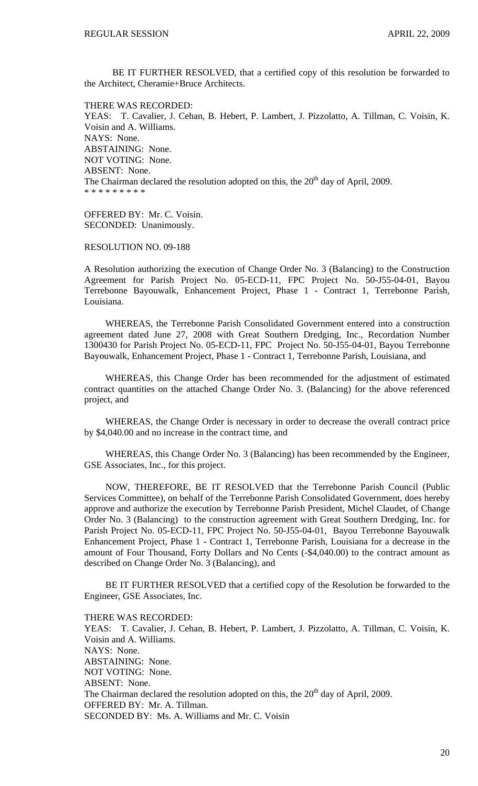BE IT FURTHER RESOLVED, that a certified copy of this resolution be forwarded to the Architect, Cheramie+Bruce Architects.

THERE WAS RECORDED: YEAS: T. Cavalier, J. Cehan, B. Hebert, P. Lambert, J. Pizzolatto, A. Tillman, C. Voisin, K. Voisin and A. Williams. NAYS: None. ABSTAINING: None. NOT VOTING: None. ABSENT: None. The Chairman declared the resolution adopted on this, the  $20<sup>th</sup>$  day of April, 2009. \* \* \* \* \* \* \* \* \*

OFFERED BY: Mr. C. Voisin. SECONDED: Unanimously.

RESOLUTION NO. 09-188

A Resolution authorizing the execution of Change Order No. 3 (Balancing) to the Construction Agreement for Parish Project No. 05-ECD-11, FPC Project No. 50-J55-04-01, Bayou Terrebonne Bayouwalk, Enhancement Project, Phase 1 - Contract 1, Terrebonne Parish, Louisiana.

 WHEREAS, the Terrebonne Parish Consolidated Government entered into a construction agreement dated June 27, 2008 with Great Southern Dredging, Inc., Recordation Number 1300430 for Parish Project No. 05-ECD-11, FPC Project No. 50-J55-04-01, Bayou Terrebonne Bayouwalk, Enhancement Project, Phase 1 - Contract 1, Terrebonne Parish, Louisiana, and

 WHEREAS, this Change Order has been recommended for the adjustment of estimated contract quantities on the attached Change Order No. 3. (Balancing) for the above referenced project, and

 WHEREAS, the Change Order is necessary in order to decrease the overall contract price by \$4,040.00 and no increase in the contract time, and

 WHEREAS, this Change Order No. 3 (Balancing) has been recommended by the Engineer, GSE Associates, Inc., for this project.

 NOW, THEREFORE, BE IT RESOLVED that the Terrebonne Parish Council (Public Services Committee), on behalf of the Terrebonne Parish Consolidated Government, does hereby approve and authorize the execution by Terrebonne Parish President, Michel Claudet, of Change Order No. 3 (Balancing) to the construction agreement with Great Southern Dredging, Inc. for Parish Project No. 05-ECD-11, FPC Project No. 50-J55-04-01, Bayou Terrebonne Bayouwalk Enhancement Project, Phase 1 - Contract 1, Terrebonne Parish, Louisiana for a decrease in the amount of Four Thousand, Forty Dollars and No Cents (-\$4,040.00) to the contract amount as described on Change Order No. 3 (Balancing), and

 BE IT FURTHER RESOLVED that a certified copy of the Resolution be forwarded to the Engineer, GSE Associates, Inc.

THERE WAS RECORDED:

YEAS: T. Cavalier, J. Cehan, B. Hebert, P. Lambert, J. Pizzolatto, A. Tillman, C. Voisin, K. Voisin and A. Williams. NAYS: None. ABSTAINING: None. NOT VOTING: None. ABSENT: None. The Chairman declared the resolution adopted on this, the  $20<sup>th</sup>$  day of April, 2009. OFFERED BY: Mr. A. Tillman. SECONDED BY: Ms. A. Williams and Mr. C. Voisin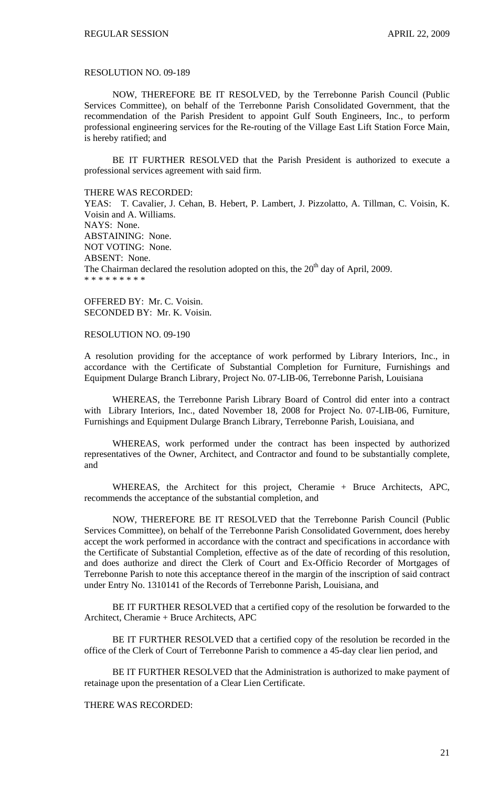#### RESOLUTION NO. 09-189

 NOW, THEREFORE BE IT RESOLVED, by the Terrebonne Parish Council (Public Services Committee), on behalf of the Terrebonne Parish Consolidated Government, that the recommendation of the Parish President to appoint Gulf South Engineers, Inc., to perform professional engineering services for the Re-routing of the Village East Lift Station Force Main, is hereby ratified; and

 BE IT FURTHER RESOLVED that the Parish President is authorized to execute a professional services agreement with said firm.

THERE WAS RECORDED:

YEAS: T. Cavalier, J. Cehan, B. Hebert, P. Lambert, J. Pizzolatto, A. Tillman, C. Voisin, K. Voisin and A. Williams. NAYS: None. ABSTAINING: None. NOT VOTING: None. ABSENT: None. The Chairman declared the resolution adopted on this, the  $20<sup>th</sup>$  day of April, 2009. \* \* \* \* \* \* \* \* \*

OFFERED BY: Mr. C. Voisin. SECONDED BY: Mr. K. Voisin.

#### RESOLUTION NO. 09-190

A resolution providing for the acceptance of work performed by Library Interiors, Inc., in accordance with the Certificate of Substantial Completion for Furniture, Furnishings and Equipment Dularge Branch Library, Project No. 07-LIB-06, Terrebonne Parish, Louisiana

 WHEREAS, the Terrebonne Parish Library Board of Control did enter into a contract with Library Interiors, Inc., dated November 18, 2008 for Project No. 07-LIB-06, Furniture, Furnishings and Equipment Dularge Branch Library, Terrebonne Parish, Louisiana, and

 WHEREAS, work performed under the contract has been inspected by authorized representatives of the Owner, Architect, and Contractor and found to be substantially complete, and

 WHEREAS, the Architect for this project, Cheramie + Bruce Architects, APC, recommends the acceptance of the substantial completion, and

 NOW, THEREFORE BE IT RESOLVED that the Terrebonne Parish Council (Public Services Committee), on behalf of the Terrebonne Parish Consolidated Government, does hereby accept the work performed in accordance with the contract and specifications in accordance with the Certificate of Substantial Completion, effective as of the date of recording of this resolution, and does authorize and direct the Clerk of Court and Ex-Officio Recorder of Mortgages of Terrebonne Parish to note this acceptance thereof in the margin of the inscription of said contract under Entry No. 1310141 of the Records of Terrebonne Parish, Louisiana, and

 BE IT FURTHER RESOLVED that a certified copy of the resolution be forwarded to the Architect, Cheramie + Bruce Architects, APC

 BE IT FURTHER RESOLVED that a certified copy of the resolution be recorded in the office of the Clerk of Court of Terrebonne Parish to commence a 45-day clear lien period, and

 BE IT FURTHER RESOLVED that the Administration is authorized to make payment of retainage upon the presentation of a Clear Lien Certificate.

THERE WAS RECORDED: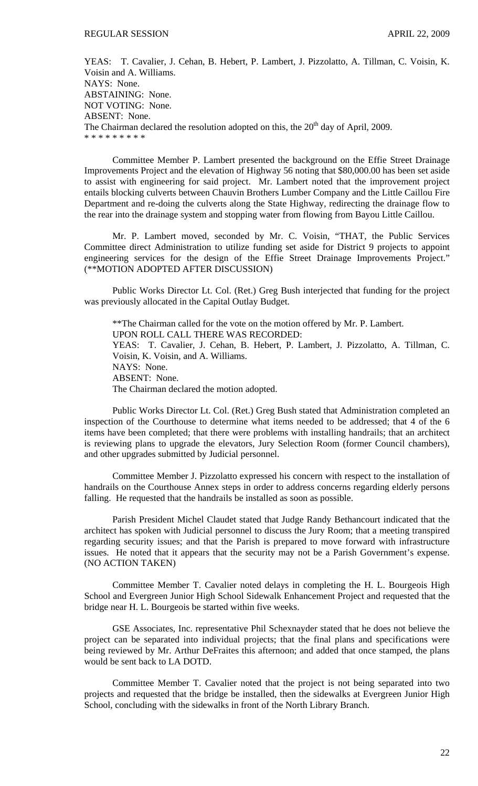YEAS: T. Cavalier, J. Cehan, B. Hebert, P. Lambert, J. Pizzolatto, A. Tillman, C. Voisin, K. Voisin and A. Williams. NAYS: None. ABSTAINING: None. NOT VOTING: None. ABSENT: None. The Chairman declared the resolution adopted on this, the  $20<sup>th</sup>$  day of April, 2009. \* \* \* \* \* \* \* \* \*

 Committee Member P. Lambert presented the background on the Effie Street Drainage Improvements Project and the elevation of Highway 56 noting that \$80,000.00 has been set aside to assist with engineering for said project. Mr. Lambert noted that the improvement project entails blocking culverts between Chauvin Brothers Lumber Company and the Little Caillou Fire Department and re-doing the culverts along the State Highway, redirecting the drainage flow to the rear into the drainage system and stopping water from flowing from Bayou Little Caillou.

 Mr. P. Lambert moved, seconded by Mr. C. Voisin, "THAT, the Public Services Committee direct Administration to utilize funding set aside for District 9 projects to appoint engineering services for the design of the Effie Street Drainage Improvements Project." (\*\*MOTION ADOPTED AFTER DISCUSSION)

 Public Works Director Lt. Col. (Ret.) Greg Bush interjected that funding for the project was previously allocated in the Capital Outlay Budget.

\*\*The Chairman called for the vote on the motion offered by Mr. P. Lambert. UPON ROLL CALL THERE WAS RECORDED: YEAS: T. Cavalier, J. Cehan, B. Hebert, P. Lambert, J. Pizzolatto, A. Tillman, C. Voisin, K. Voisin, and A. Williams. NAYS: None. ABSENT: None. The Chairman declared the motion adopted.

 Public Works Director Lt. Col. (Ret.) Greg Bush stated that Administration completed an inspection of the Courthouse to determine what items needed to be addressed; that 4 of the 6 items have been completed; that there were problems with installing handrails; that an architect is reviewing plans to upgrade the elevators, Jury Selection Room (former Council chambers), and other upgrades submitted by Judicial personnel.

 Committee Member J. Pizzolatto expressed his concern with respect to the installation of handrails on the Courthouse Annex steps in order to address concerns regarding elderly persons falling. He requested that the handrails be installed as soon as possible.

Parish President Michel Claudet stated that Judge Randy Bethancourt indicated that the architect has spoken with Judicial personnel to discuss the Jury Room; that a meeting transpired regarding security issues; and that the Parish is prepared to move forward with infrastructure issues. He noted that it appears that the security may not be a Parish Government's expense. (NO ACTION TAKEN)

 Committee Member T. Cavalier noted delays in completing the H. L. Bourgeois High School and Evergreen Junior High School Sidewalk Enhancement Project and requested that the bridge near H. L. Bourgeois be started within five weeks.

 GSE Associates, Inc. representative Phil Schexnayder stated that he does not believe the project can be separated into individual projects; that the final plans and specifications were being reviewed by Mr. Arthur DeFraites this afternoon; and added that once stamped, the plans would be sent back to LA DOTD.

 Committee Member T. Cavalier noted that the project is not being separated into two projects and requested that the bridge be installed, then the sidewalks at Evergreen Junior High School, concluding with the sidewalks in front of the North Library Branch.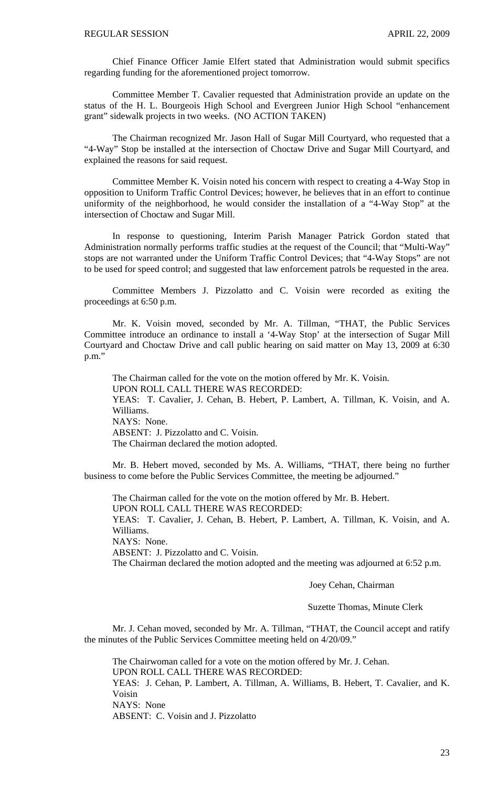Chief Finance Officer Jamie Elfert stated that Administration would submit specifics regarding funding for the aforementioned project tomorrow.

Committee Member T. Cavalier requested that Administration provide an update on the status of the H. L. Bourgeois High School and Evergreen Junior High School "enhancement grant" sidewalk projects in two weeks. (NO ACTION TAKEN)

 The Chairman recognized Mr. Jason Hall of Sugar Mill Courtyard, who requested that a "4-Way" Stop be installed at the intersection of Choctaw Drive and Sugar Mill Courtyard, and explained the reasons for said request.

 Committee Member K. Voisin noted his concern with respect to creating a 4-Way Stop in opposition to Uniform Traffic Control Devices; however, he believes that in an effort to continue uniformity of the neighborhood, he would consider the installation of a "4-Way Stop" at the intersection of Choctaw and Sugar Mill.

 In response to questioning, Interim Parish Manager Patrick Gordon stated that Administration normally performs traffic studies at the request of the Council; that "Multi-Way" stops are not warranted under the Uniform Traffic Control Devices; that "4-Way Stops" are not to be used for speed control; and suggested that law enforcement patrols be requested in the area.

 Committee Members J. Pizzolatto and C. Voisin were recorded as exiting the proceedings at 6:50 p.m.

 Mr. K. Voisin moved, seconded by Mr. A. Tillman, "THAT, the Public Services Committee introduce an ordinance to install a '4-Way Stop' at the intersection of Sugar Mill Courtyard and Choctaw Drive and call public hearing on said matter on May 13, 2009 at 6:30 p.m."

 The Chairman called for the vote on the motion offered by Mr. K. Voisin. UPON ROLL CALL THERE WAS RECORDED: YEAS: T. Cavalier, J. Cehan, B. Hebert, P. Lambert, A. Tillman, K. Voisin, and A. Williams. NAYS: None. ABSENT: J. Pizzolatto and C. Voisin. The Chairman declared the motion adopted.

 Mr. B. Hebert moved, seconded by Ms. A. Williams, "THAT, there being no further business to come before the Public Services Committee, the meeting be adjourned."

 The Chairman called for the vote on the motion offered by Mr. B. Hebert. UPON ROLL CALL THERE WAS RECORDED: YEAS: T. Cavalier, J. Cehan, B. Hebert, P. Lambert, A. Tillman, K. Voisin, and A.

Williams. NAYS: None.

ABSENT: J. Pizzolatto and C. Voisin.

The Chairman declared the motion adopted and the meeting was adjourned at 6:52 p.m.

Joey Cehan, Chairman

Suzette Thomas, Minute Clerk

Mr. J. Cehan moved, seconded by Mr. A. Tillman, "THAT, the Council accept and ratify the minutes of the Public Services Committee meeting held on 4/20/09."

 The Chairwoman called for a vote on the motion offered by Mr. J. Cehan. UPON ROLL CALL THERE WAS RECORDED: YEAS: J. Cehan, P. Lambert, A. Tillman, A. Williams, B. Hebert, T. Cavalier, and K. Voisin NAYS: None ABSENT: C. Voisin and J. Pizzolatto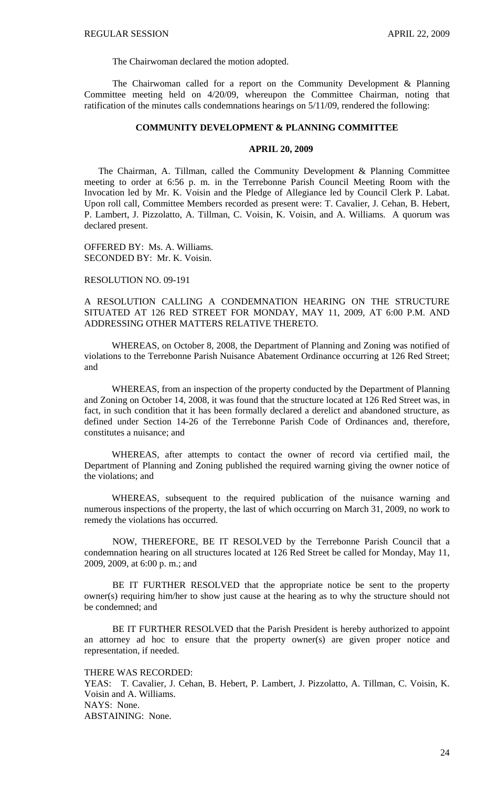The Chairwoman declared the motion adopted.

 The Chairwoman called for a report on the Community Development & Planning Committee meeting held on 4/20/09, whereupon the Committee Chairman, noting that ratification of the minutes calls condemnations hearings on 5/11/09, rendered the following:

### **COMMUNITY DEVELOPMENT & PLANNING COMMITTEE**

### **APRIL 20, 2009**

 The Chairman, A. Tillman, called the Community Development & Planning Committee meeting to order at 6:56 p. m. in the Terrebonne Parish Council Meeting Room with the Invocation led by Mr. K. Voisin and the Pledge of Allegiance led by Council Clerk P. Labat. Upon roll call, Committee Members recorded as present were: T. Cavalier, J. Cehan, B. Hebert, P. Lambert, J. Pizzolatto, A. Tillman, C. Voisin, K. Voisin, and A. Williams. A quorum was declared present.

OFFERED BY: Ms. A. Williams. SECONDED BY: Mr. K. Voisin.

### RESOLUTION NO. 09-191

A RESOLUTION CALLING A CONDEMNATION HEARING ON THE STRUCTURE SITUATED AT 126 RED STREET FOR MONDAY, MAY 11, 2009, AT 6:00 P.M. AND ADDRESSING OTHER MATTERS RELATIVE THERETO.

WHEREAS, on October 8, 2008, the Department of Planning and Zoning was notified of violations to the Terrebonne Parish Nuisance Abatement Ordinance occurring at 126 Red Street; and

WHEREAS, from an inspection of the property conducted by the Department of Planning and Zoning on October 14, 2008, it was found that the structure located at 126 Red Street was, in fact, in such condition that it has been formally declared a derelict and abandoned structure, as defined under Section 14-26 of the Terrebonne Parish Code of Ordinances and, therefore, constitutes a nuisance; and

WHEREAS, after attempts to contact the owner of record via certified mail, the Department of Planning and Zoning published the required warning giving the owner notice of the violations; and

WHEREAS, subsequent to the required publication of the nuisance warning and numerous inspections of the property, the last of which occurring on March 31, 2009, no work to remedy the violations has occurred.

 NOW, THEREFORE, BE IT RESOLVED by the Terrebonne Parish Council that a condemnation hearing on all structures located at 126 Red Street be called for Monday, May 11, 2009, 2009, at 6:00 p. m.; and

 BE IT FURTHER RESOLVED that the appropriate notice be sent to the property owner(s) requiring him/her to show just cause at the hearing as to why the structure should not be condemned; and

 BE IT FURTHER RESOLVED that the Parish President is hereby authorized to appoint an attorney ad hoc to ensure that the property owner(s) are given proper notice and representation, if needed.

## THERE WAS RECORDED:

YEAS: T. Cavalier, J. Cehan, B. Hebert, P. Lambert, J. Pizzolatto, A. Tillman, C. Voisin, K. Voisin and A. Williams. NAYS: None. ABSTAINING: None.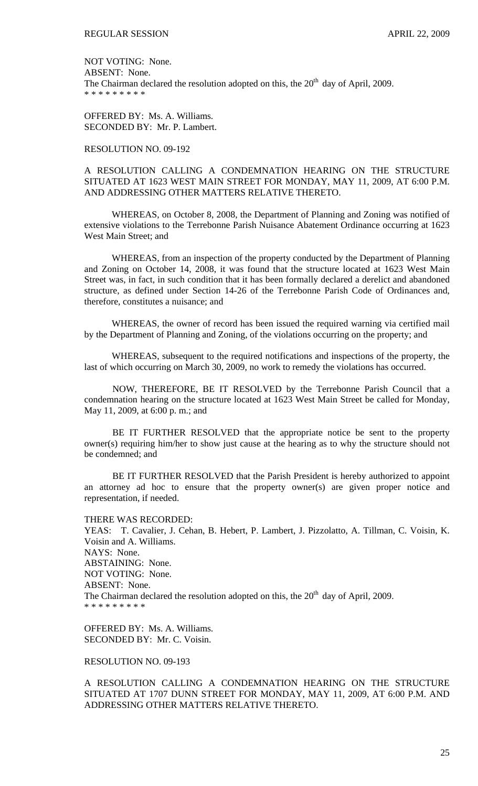NOT VOTING: None. ABSENT: None. The Chairman declared the resolution adopted on this, the  $20<sup>th</sup>$  day of April, 2009. \* \* \* \* \* \* \* \* \*

OFFERED BY: Ms. A. Williams. SECONDED BY: Mr. P. Lambert.

## RESOLUTION NO. 09-192

# A RESOLUTION CALLING A CONDEMNATION HEARING ON THE STRUCTURE SITUATED AT 1623 WEST MAIN STREET FOR MONDAY, MAY 11, 2009, AT 6:00 P.M. AND ADDRESSING OTHER MATTERS RELATIVE THERETO.

WHEREAS, on October 8, 2008, the Department of Planning and Zoning was notified of extensive violations to the Terrebonne Parish Nuisance Abatement Ordinance occurring at 1623 West Main Street; and

WHEREAS, from an inspection of the property conducted by the Department of Planning and Zoning on October 14, 2008, it was found that the structure located at 1623 West Main Street was, in fact, in such condition that it has been formally declared a derelict and abandoned structure, as defined under Section 14-26 of the Terrebonne Parish Code of Ordinances and, therefore, constitutes a nuisance; and

WHEREAS, the owner of record has been issued the required warning via certified mail by the Department of Planning and Zoning, of the violations occurring on the property; and

WHEREAS, subsequent to the required notifications and inspections of the property, the last of which occurring on March 30, 2009, no work to remedy the violations has occurred.

 NOW, THEREFORE, BE IT RESOLVED by the Terrebonne Parish Council that a condemnation hearing on the structure located at 1623 West Main Street be called for Monday, May 11, 2009, at 6:00 p. m.; and

 BE IT FURTHER RESOLVED that the appropriate notice be sent to the property owner(s) requiring him/her to show just cause at the hearing as to why the structure should not be condemned; and

 BE IT FURTHER RESOLVED that the Parish President is hereby authorized to appoint an attorney ad hoc to ensure that the property owner(s) are given proper notice and representation, if needed.

#### THERE WAS RECORDED:

YEAS: T. Cavalier, J. Cehan, B. Hebert, P. Lambert, J. Pizzolatto, A. Tillman, C. Voisin, K. Voisin and A. Williams. NAYS: None. ABSTAINING: None. NOT VOTING: None. ABSENT: None. The Chairman declared the resolution adopted on this, the  $20<sup>th</sup>$  day of April, 2009. \* \* \* \* \* \* \* \* \*

OFFERED BY: Ms. A. Williams. SECONDED BY: Mr. C. Voisin.

RESOLUTION NO. 09-193

A RESOLUTION CALLING A CONDEMNATION HEARING ON THE STRUCTURE SITUATED AT 1707 DUNN STREET FOR MONDAY, MAY 11, 2009, AT 6:00 P.M. AND ADDRESSING OTHER MATTERS RELATIVE THERETO.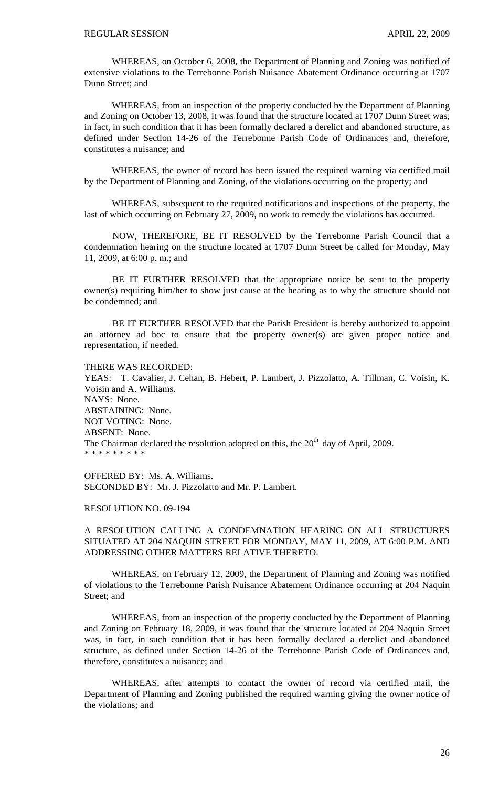WHEREAS, on October 6, 2008, the Department of Planning and Zoning was notified of extensive violations to the Terrebonne Parish Nuisance Abatement Ordinance occurring at 1707 Dunn Street; and

WHEREAS, from an inspection of the property conducted by the Department of Planning and Zoning on October 13, 2008, it was found that the structure located at 1707 Dunn Street was, in fact, in such condition that it has been formally declared a derelict and abandoned structure, as defined under Section 14-26 of the Terrebonne Parish Code of Ordinances and, therefore, constitutes a nuisance; and

WHEREAS, the owner of record has been issued the required warning via certified mail by the Department of Planning and Zoning, of the violations occurring on the property; and

WHEREAS, subsequent to the required notifications and inspections of the property, the last of which occurring on February 27, 2009, no work to remedy the violations has occurred.

 NOW, THEREFORE, BE IT RESOLVED by the Terrebonne Parish Council that a condemnation hearing on the structure located at 1707 Dunn Street be called for Monday, May 11, 2009, at 6:00 p. m.; and

 BE IT FURTHER RESOLVED that the appropriate notice be sent to the property owner(s) requiring him/her to show just cause at the hearing as to why the structure should not be condemned; and

 BE IT FURTHER RESOLVED that the Parish President is hereby authorized to appoint an attorney ad hoc to ensure that the property owner(s) are given proper notice and representation, if needed.

### THERE WAS RECORDED:

YEAS: T. Cavalier, J. Cehan, B. Hebert, P. Lambert, J. Pizzolatto, A. Tillman, C. Voisin, K. Voisin and A. Williams. NAYS: None. ABSTAINING: None. NOT VOTING: None. ABSENT: None. The Chairman declared the resolution adopted on this, the  $20<sup>th</sup>$  day of April, 2009. \* \* \* \* \* \* \* \* \*

OFFERED BY: Ms. A. Williams. SECONDED BY: Mr. J. Pizzolatto and Mr. P. Lambert.

### RESOLUTION NO. 09-194

A RESOLUTION CALLING A CONDEMNATION HEARING ON ALL STRUCTURES SITUATED AT 204 NAQUIN STREET FOR MONDAY, MAY 11, 2009, AT 6:00 P.M. AND ADDRESSING OTHER MATTERS RELATIVE THERETO.

WHEREAS, on February 12, 2009, the Department of Planning and Zoning was notified of violations to the Terrebonne Parish Nuisance Abatement Ordinance occurring at 204 Naquin Street; and

WHEREAS, from an inspection of the property conducted by the Department of Planning and Zoning on February 18, 2009, it was found that the structure located at 204 Naquin Street was, in fact, in such condition that it has been formally declared a derelict and abandoned structure, as defined under Section 14-26 of the Terrebonne Parish Code of Ordinances and, therefore, constitutes a nuisance; and

WHEREAS, after attempts to contact the owner of record via certified mail, the Department of Planning and Zoning published the required warning giving the owner notice of the violations; and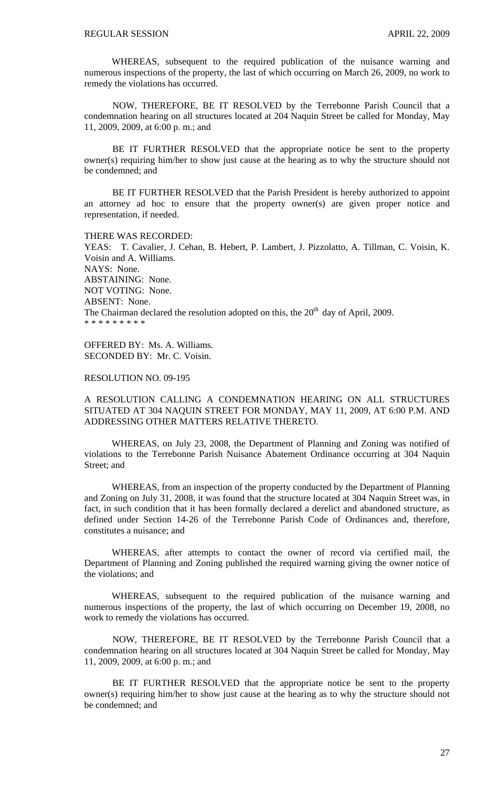WHEREAS, subsequent to the required publication of the nuisance warning and numerous inspections of the property, the last of which occurring on March 26, 2009, no work to remedy the violations has occurred.

 NOW, THEREFORE, BE IT RESOLVED by the Terrebonne Parish Council that a condemnation hearing on all structures located at 204 Naquin Street be called for Monday, May 11, 2009, 2009, at 6:00 p. m.; and

 BE IT FURTHER RESOLVED that the appropriate notice be sent to the property owner(s) requiring him/her to show just cause at the hearing as to why the structure should not be condemned; and

 BE IT FURTHER RESOLVED that the Parish President is hereby authorized to appoint an attorney ad hoc to ensure that the property owner(s) are given proper notice and representation, if needed.

#### THERE WAS RECORDED:

YEAS: T. Cavalier, J. Cehan, B. Hebert, P. Lambert, J. Pizzolatto, A. Tillman, C. Voisin, K. Voisin and A. Williams. NAYS: None. ABSTAINING: None. NOT VOTING: None. ABSENT: None. The Chairman declared the resolution adopted on this, the  $20<sup>th</sup>$  day of April, 2009. \* \* \* \* \* \* \* \*

OFFERED BY: Ms. A. Williams. SECONDED BY: Mr. C. Voisin.

## RESOLUTION NO. 09-195

A RESOLUTION CALLING A CONDEMNATION HEARING ON ALL STRUCTURES SITUATED AT 304 NAQUIN STREET FOR MONDAY, MAY 11, 2009, AT 6:00 P.M. AND ADDRESSING OTHER MATTERS RELATIVE THERETO.

WHEREAS, on July 23, 2008, the Department of Planning and Zoning was notified of violations to the Terrebonne Parish Nuisance Abatement Ordinance occurring at 304 Naquin Street; and

WHEREAS, from an inspection of the property conducted by the Department of Planning and Zoning on July 31, 2008, it was found that the structure located at 304 Naquin Street was, in fact, in such condition that it has been formally declared a derelict and abandoned structure, as defined under Section 14-26 of the Terrebonne Parish Code of Ordinances and, therefore, constitutes a nuisance; and

WHEREAS, after attempts to contact the owner of record via certified mail, the Department of Planning and Zoning published the required warning giving the owner notice of the violations; and

WHEREAS, subsequent to the required publication of the nuisance warning and numerous inspections of the property, the last of which occurring on December 19, 2008, no work to remedy the violations has occurred.

 NOW, THEREFORE, BE IT RESOLVED by the Terrebonne Parish Council that a condemnation hearing on all structures located at 304 Naquin Street be called for Monday, May 11, 2009, 2009, at 6:00 p. m.; and

 BE IT FURTHER RESOLVED that the appropriate notice be sent to the property owner(s) requiring him/her to show just cause at the hearing as to why the structure should not be condemned; and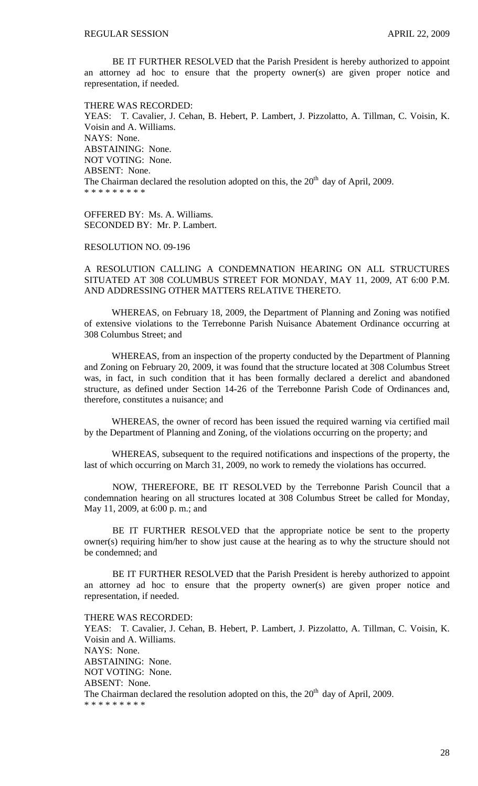BE IT FURTHER RESOLVED that the Parish President is hereby authorized to appoint an attorney ad hoc to ensure that the property owner(s) are given proper notice and representation, if needed.

THERE WAS RECORDED: YEAS: T. Cavalier, J. Cehan, B. Hebert, P. Lambert, J. Pizzolatto, A. Tillman, C. Voisin, K. Voisin and A. Williams. NAYS: None. ABSTAINING: None. NOT VOTING: None. ABSENT: None. The Chairman declared the resolution adopted on this, the  $20<sup>th</sup>$  day of April, 2009. \* \* \* \* \* \* \* \* \*

OFFERED BY: Ms. A. Williams. SECONDED BY: Mr. P. Lambert.

RESOLUTION NO. 09-196

A RESOLUTION CALLING A CONDEMNATION HEARING ON ALL STRUCTURES SITUATED AT 308 COLUMBUS STREET FOR MONDAY, MAY 11, 2009, AT 6:00 P.M. AND ADDRESSING OTHER MATTERS RELATIVE THERETO.

WHEREAS, on February 18, 2009, the Department of Planning and Zoning was notified of extensive violations to the Terrebonne Parish Nuisance Abatement Ordinance occurring at 308 Columbus Street; and

WHEREAS, from an inspection of the property conducted by the Department of Planning and Zoning on February 20, 2009, it was found that the structure located at 308 Columbus Street was, in fact, in such condition that it has been formally declared a derelict and abandoned structure, as defined under Section 14-26 of the Terrebonne Parish Code of Ordinances and, therefore, constitutes a nuisance; and

WHEREAS, the owner of record has been issued the required warning via certified mail by the Department of Planning and Zoning, of the violations occurring on the property; and

WHEREAS, subsequent to the required notifications and inspections of the property, the last of which occurring on March 31, 2009, no work to remedy the violations has occurred.

 NOW, THEREFORE, BE IT RESOLVED by the Terrebonne Parish Council that a condemnation hearing on all structures located at 308 Columbus Street be called for Monday, May 11, 2009, at 6:00 p. m.; and

 BE IT FURTHER RESOLVED that the appropriate notice be sent to the property owner(s) requiring him/her to show just cause at the hearing as to why the structure should not be condemned; and

 BE IT FURTHER RESOLVED that the Parish President is hereby authorized to appoint an attorney ad hoc to ensure that the property owner(s) are given proper notice and representation, if needed.

THERE WAS RECORDED:

YEAS: T. Cavalier, J. Cehan, B. Hebert, P. Lambert, J. Pizzolatto, A. Tillman, C. Voisin, K. Voisin and A. Williams. NAYS: None. ABSTAINING: None. NOT VOTING: None. ABSENT: None. The Chairman declared the resolution adopted on this, the  $20<sup>th</sup>$  day of April, 2009. \* \* \* \* \* \* \* \* \*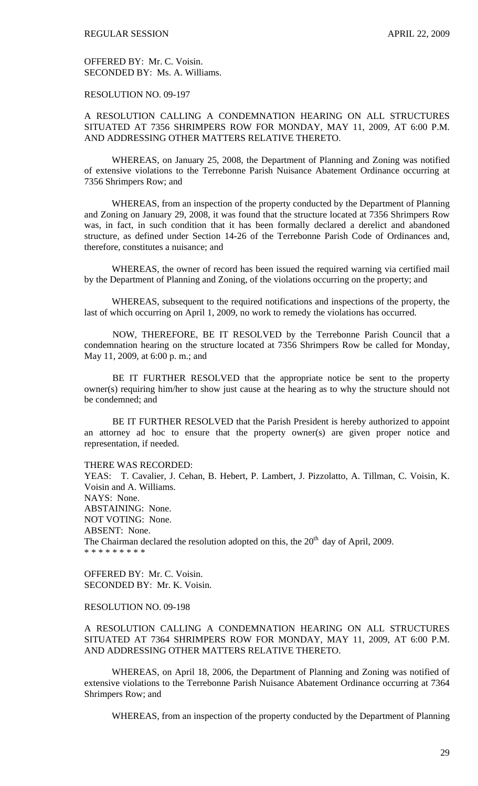OFFERED BY: Mr. C. Voisin. SECONDED BY: Ms. A. Williams.

RESOLUTION NO. 09-197

A RESOLUTION CALLING A CONDEMNATION HEARING ON ALL STRUCTURES SITUATED AT 7356 SHRIMPERS ROW FOR MONDAY, MAY 11, 2009, AT 6:00 P.M. AND ADDRESSING OTHER MATTERS RELATIVE THERETO.

WHEREAS, on January 25, 2008, the Department of Planning and Zoning was notified of extensive violations to the Terrebonne Parish Nuisance Abatement Ordinance occurring at 7356 Shrimpers Row; and

WHEREAS, from an inspection of the property conducted by the Department of Planning and Zoning on January 29, 2008, it was found that the structure located at 7356 Shrimpers Row was, in fact, in such condition that it has been formally declared a derelict and abandoned structure, as defined under Section 14-26 of the Terrebonne Parish Code of Ordinances and, therefore, constitutes a nuisance; and

WHEREAS, the owner of record has been issued the required warning via certified mail by the Department of Planning and Zoning, of the violations occurring on the property; and

WHEREAS, subsequent to the required notifications and inspections of the property, the last of which occurring on April 1, 2009, no work to remedy the violations has occurred.

 NOW, THEREFORE, BE IT RESOLVED by the Terrebonne Parish Council that a condemnation hearing on the structure located at 7356 Shrimpers Row be called for Monday, May 11, 2009, at 6:00 p. m.; and

 BE IT FURTHER RESOLVED that the appropriate notice be sent to the property owner(s) requiring him/her to show just cause at the hearing as to why the structure should not be condemned; and

 BE IT FURTHER RESOLVED that the Parish President is hereby authorized to appoint an attorney ad hoc to ensure that the property owner(s) are given proper notice and representation, if needed.

THERE WAS RECORDED:

YEAS: T. Cavalier, J. Cehan, B. Hebert, P. Lambert, J. Pizzolatto, A. Tillman, C. Voisin, K. Voisin and A. Williams. NAYS: None. ABSTAINING: None. NOT VOTING: None. ABSENT: None. The Chairman declared the resolution adopted on this, the  $20<sup>th</sup>$  day of April, 2009. \* \* \* \* \* \* \* \* \*

OFFERED BY: Mr. C. Voisin. SECONDED BY: Mr. K. Voisin.

### RESOLUTION NO. 09-198

A RESOLUTION CALLING A CONDEMNATION HEARING ON ALL STRUCTURES SITUATED AT 7364 SHRIMPERS ROW FOR MONDAY, MAY 11, 2009, AT 6:00 P.M. AND ADDRESSING OTHER MATTERS RELATIVE THERETO.

WHEREAS, on April 18, 2006, the Department of Planning and Zoning was notified of extensive violations to the Terrebonne Parish Nuisance Abatement Ordinance occurring at 7364 Shrimpers Row; and

WHEREAS, from an inspection of the property conducted by the Department of Planning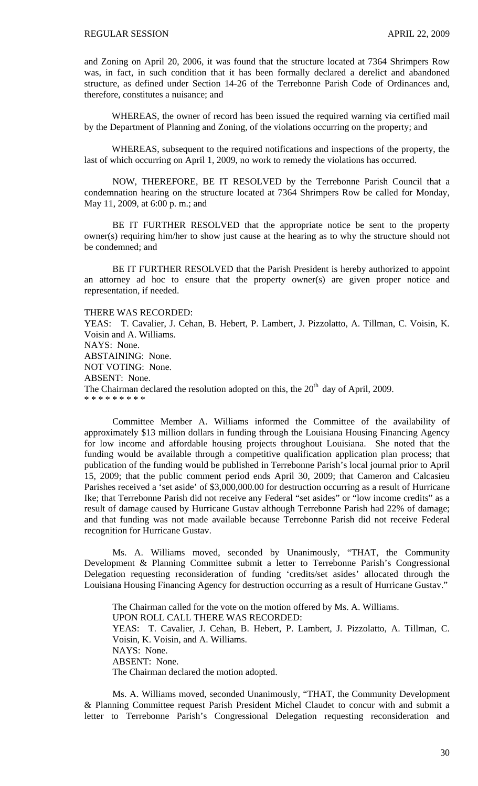and Zoning on April 20, 2006, it was found that the structure located at 7364 Shrimpers Row was, in fact, in such condition that it has been formally declared a derelict and abandoned structure, as defined under Section 14-26 of the Terrebonne Parish Code of Ordinances and, therefore, constitutes a nuisance; and

WHEREAS, the owner of record has been issued the required warning via certified mail by the Department of Planning and Zoning, of the violations occurring on the property; and

WHEREAS, subsequent to the required notifications and inspections of the property, the last of which occurring on April 1, 2009, no work to remedy the violations has occurred.

 NOW, THEREFORE, BE IT RESOLVED by the Terrebonne Parish Council that a condemnation hearing on the structure located at 7364 Shrimpers Row be called for Monday, May 11, 2009, at 6:00 p. m.; and

 BE IT FURTHER RESOLVED that the appropriate notice be sent to the property owner(s) requiring him/her to show just cause at the hearing as to why the structure should not be condemned; and

 BE IT FURTHER RESOLVED that the Parish President is hereby authorized to appoint an attorney ad hoc to ensure that the property owner(s) are given proper notice and representation, if needed.

#### THERE WAS RECORDED:

YEAS: T. Cavalier, J. Cehan, B. Hebert, P. Lambert, J. Pizzolatto, A. Tillman, C. Voisin, K. Voisin and A. Williams. NAYS: None. ABSTAINING: None. NOT VOTING: None. ABSENT: None. The Chairman declared the resolution adopted on this, the  $20<sup>th</sup>$  day of April, 2009. \* \* \* \* \* \* \* \* \*

 Committee Member A. Williams informed the Committee of the availability of approximately \$13 million dollars in funding through the Louisiana Housing Financing Agency for low income and affordable housing projects throughout Louisiana. She noted that the funding would be available through a competitive qualification application plan process; that publication of the funding would be published in Terrebonne Parish's local journal prior to April 15, 2009; that the public comment period ends April 30, 2009; that Cameron and Calcasieu Parishes received a 'set aside' of \$3,000,000.00 for destruction occurring as a result of Hurricane Ike; that Terrebonne Parish did not receive any Federal "set asides" or "low income credits" as a result of damage caused by Hurricane Gustav although Terrebonne Parish had 22% of damage; and that funding was not made available because Terrebonne Parish did not receive Federal recognition for Hurricane Gustav.

 Ms. A. Williams moved, seconded by Unanimously, "THAT, the Community Development & Planning Committee submit a letter to Terrebonne Parish's Congressional Delegation requesting reconsideration of funding 'credits/set asides' allocated through the Louisiana Housing Financing Agency for destruction occurring as a result of Hurricane Gustav."

The Chairman called for the vote on the motion offered by Ms. A. Williams. UPON ROLL CALL THERE WAS RECORDED: YEAS: T. Cavalier, J. Cehan, B. Hebert, P. Lambert, J. Pizzolatto, A. Tillman, C. Voisin, K. Voisin, and A. Williams. NAYS: None. ABSENT: None. The Chairman declared the motion adopted.

 Ms. A. Williams moved, seconded Unanimously, "THAT, the Community Development & Planning Committee request Parish President Michel Claudet to concur with and submit a letter to Terrebonne Parish's Congressional Delegation requesting reconsideration and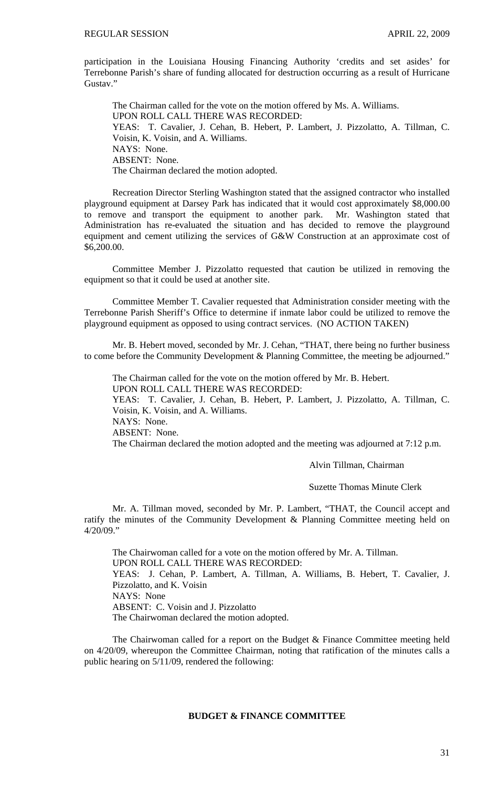participation in the Louisiana Housing Financing Authority 'credits and set asides' for Terrebonne Parish's share of funding allocated for destruction occurring as a result of Hurricane Gustav."

The Chairman called for the vote on the motion offered by Ms. A. Williams. UPON ROLL CALL THERE WAS RECORDED: YEAS: T. Cavalier, J. Cehan, B. Hebert, P. Lambert, J. Pizzolatto, A. Tillman, C. Voisin, K. Voisin, and A. Williams. NAYS: None. ABSENT: None. The Chairman declared the motion adopted.

 Recreation Director Sterling Washington stated that the assigned contractor who installed playground equipment at Darsey Park has indicated that it would cost approximately \$8,000.00 to remove and transport the equipment to another park. Mr. Washington stated that Administration has re-evaluated the situation and has decided to remove the playground equipment and cement utilizing the services of G&W Construction at an approximate cost of \$6,200.00.

 Committee Member J. Pizzolatto requested that caution be utilized in removing the equipment so that it could be used at another site.

 Committee Member T. Cavalier requested that Administration consider meeting with the Terrebonne Parish Sheriff's Office to determine if inmate labor could be utilized to remove the playground equipment as opposed to using contract services. (NO ACTION TAKEN)

 Mr. B. Hebert moved, seconded by Mr. J. Cehan, "THAT, there being no further business to come before the Community Development & Planning Committee, the meeting be adjourned."

The Chairman called for the vote on the motion offered by Mr. B. Hebert.

UPON ROLL CALL THERE WAS RECORDED:

YEAS: T. Cavalier, J. Cehan, B. Hebert, P. Lambert, J. Pizzolatto, A. Tillman, C. Voisin, K. Voisin, and A. Williams.

NAYS: None.

ABSENT: None.

The Chairman declared the motion adopted and the meeting was adjourned at 7:12 p.m.

Alvin Tillman, Chairman

Suzette Thomas Minute Clerk

Mr. A. Tillman moved, seconded by Mr. P. Lambert, "THAT, the Council accept and ratify the minutes of the Community Development & Planning Committee meeting held on 4/20/09."

 The Chairwoman called for a vote on the motion offered by Mr. A. Tillman. UPON ROLL CALL THERE WAS RECORDED: YEAS: J. Cehan, P. Lambert, A. Tillman, A. Williams, B. Hebert, T. Cavalier, J. Pizzolatto, and K. Voisin NAYS: None ABSENT: C. Voisin and J. Pizzolatto The Chairwoman declared the motion adopted.

 The Chairwoman called for a report on the Budget & Finance Committee meeting held on 4/20/09, whereupon the Committee Chairman, noting that ratification of the minutes calls a public hearing on 5/11/09, rendered the following:

# **BUDGET & FINANCE COMMITTEE**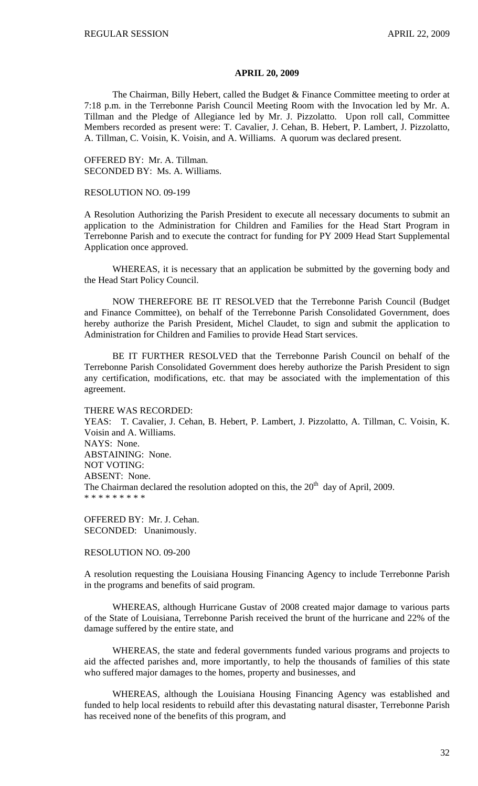#### **APRIL 20, 2009**

 The Chairman, Billy Hebert, called the Budget & Finance Committee meeting to order at 7:18 p.m. in the Terrebonne Parish Council Meeting Room with the Invocation led by Mr. A. Tillman and the Pledge of Allegiance led by Mr. J. Pizzolatto. Upon roll call, Committee Members recorded as present were: T. Cavalier, J. Cehan, B. Hebert, P. Lambert, J. Pizzolatto, A. Tillman, C. Voisin, K. Voisin, and A. Williams. A quorum was declared present.

OFFERED BY: Mr. A. Tillman. SECONDED BY: Ms. A. Williams.

## RESOLUTION NO. 09-199

A Resolution Authorizing the Parish President to execute all necessary documents to submit an application to the Administration for Children and Families for the Head Start Program in Terrebonne Parish and to execute the contract for funding for PY 2009 Head Start Supplemental Application once approved.

 WHEREAS, it is necessary that an application be submitted by the governing body and the Head Start Policy Council.

 NOW THEREFORE BE IT RESOLVED that the Terrebonne Parish Council (Budget and Finance Committee), on behalf of the Terrebonne Parish Consolidated Government, does hereby authorize the Parish President, Michel Claudet, to sign and submit the application to Administration for Children and Families to provide Head Start services.

 BE IT FURTHER RESOLVED that the Terrebonne Parish Council on behalf of the Terrebonne Parish Consolidated Government does hereby authorize the Parish President to sign any certification, modifications, etc. that may be associated with the implementation of this agreement.

THERE WAS RECORDED: YEAS: T. Cavalier, J. Cehan, B. Hebert, P. Lambert, J. Pizzolatto, A. Tillman, C. Voisin, K. Voisin and A. Williams. NAYS: None. ABSTAINING: None. NOT VOTING: ABSENT: None. The Chairman declared the resolution adopted on this, the  $20<sup>th</sup>$  day of April, 2009.

\* \* \* \* \* \* \* \* \*

OFFERED BY: Mr. J. Cehan. SECONDED: Unanimously.

#### RESOLUTION NO. 09-200

A resolution requesting the Louisiana Housing Financing Agency to include Terrebonne Parish in the programs and benefits of said program.

 WHEREAS, although Hurricane Gustav of 2008 created major damage to various parts of the State of Louisiana, Terrebonne Parish received the brunt of the hurricane and 22% of the damage suffered by the entire state, and

 WHEREAS, the state and federal governments funded various programs and projects to aid the affected parishes and, more importantly, to help the thousands of families of this state who suffered major damages to the homes, property and businesses, and

 WHEREAS, although the Louisiana Housing Financing Agency was established and funded to help local residents to rebuild after this devastating natural disaster, Terrebonne Parish has received none of the benefits of this program, and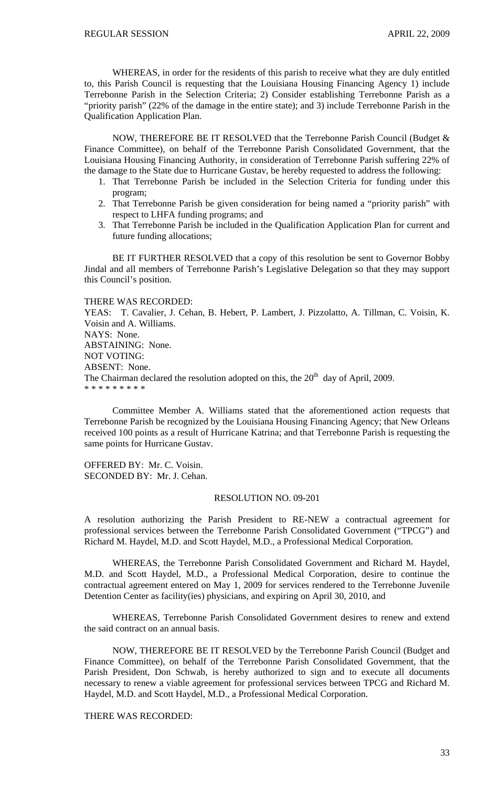WHEREAS, in order for the residents of this parish to receive what they are duly entitled to, this Parish Council is requesting that the Louisiana Housing Financing Agency 1) include Terrebonne Parish in the Selection Criteria; 2) Consider establishing Terrebonne Parish as a "priority parish" (22% of the damage in the entire state); and 3) include Terrebonne Parish in the Qualification Application Plan.

 NOW, THEREFORE BE IT RESOLVED that the Terrebonne Parish Council (Budget & Finance Committee), on behalf of the Terrebonne Parish Consolidated Government, that the Louisiana Housing Financing Authority, in consideration of Terrebonne Parish suffering 22% of the damage to the State due to Hurricane Gustav, be hereby requested to address the following:

- 1. That Terrebonne Parish be included in the Selection Criteria for funding under this program;
- 2. That Terrebonne Parish be given consideration for being named a "priority parish" with respect to LHFA funding programs; and
- 3. That Terrebonne Parish be included in the Qualification Application Plan for current and future funding allocations;

BE IT FURTHER RESOLVED that a copy of this resolution be sent to Governor Bobby Jindal and all members of Terrebonne Parish's Legislative Delegation so that they may support this Council's position.

## THERE WAS RECORDED:

YEAS: T. Cavalier, J. Cehan, B. Hebert, P. Lambert, J. Pizzolatto, A. Tillman, C. Voisin, K. Voisin and A. Williams. NAYS: None. ABSTAINING: None. NOT VOTING: ABSENT: None. The Chairman declared the resolution adopted on this, the  $20<sup>th</sup>$  day of April, 2009. \* \* \* \* \* \* \* \* \*

 Committee Member A. Williams stated that the aforementioned action requests that Terrebonne Parish be recognized by the Louisiana Housing Financing Agency; that New Orleans received 100 points as a result of Hurricane Katrina; and that Terrebonne Parish is requesting the same points for Hurricane Gustav.

OFFERED BY: Mr. C. Voisin. SECONDED BY: Mr. J. Cehan.

## RESOLUTION NO. 09-201

A resolution authorizing the Parish President to RE-NEW a contractual agreement for professional services between the Terrebonne Parish Consolidated Government ("TPCG") and Richard M. Haydel, M.D. and Scott Haydel, M.D., a Professional Medical Corporation.

 WHEREAS, the Terrebonne Parish Consolidated Government and Richard M. Haydel, M.D. and Scott Haydel, M.D., a Professional Medical Corporation, desire to continue the contractual agreement entered on May 1, 2009 for services rendered to the Terrebonne Juvenile Detention Center as facility(ies) physicians, and expiring on April 30, 2010, and

 WHEREAS, Terrebonne Parish Consolidated Government desires to renew and extend the said contract on an annual basis.

 NOW, THEREFORE BE IT RESOLVED by the Terrebonne Parish Council (Budget and Finance Committee), on behalf of the Terrebonne Parish Consolidated Government, that the Parish President, Don Schwab, is hereby authorized to sign and to execute all documents necessary to renew a viable agreement for professional services between TPCG and Richard M. Haydel, M.D. and Scott Haydel, M.D., a Professional Medical Corporation.

THERE WAS RECORDED: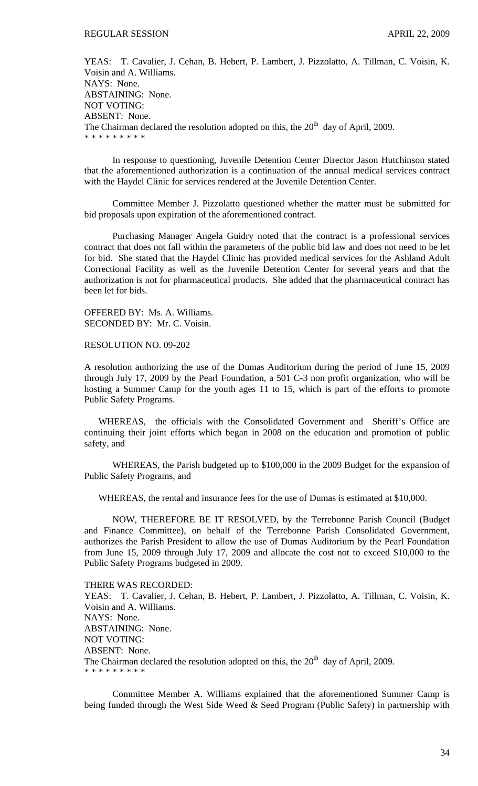YEAS: T. Cavalier, J. Cehan, B. Hebert, P. Lambert, J. Pizzolatto, A. Tillman, C. Voisin, K. Voisin and A. Williams. NAYS: None. ABSTAINING: None. NOT VOTING: ABSENT: None. The Chairman declared the resolution adopted on this, the  $20<sup>th</sup>$  day of April, 2009. \* \* \* \* \* \* \* \* \*

 In response to questioning, Juvenile Detention Center Director Jason Hutchinson stated that the aforementioned authorization is a continuation of the annual medical services contract with the Haydel Clinic for services rendered at the Juvenile Detention Center.

 Committee Member J. Pizzolatto questioned whether the matter must be submitted for bid proposals upon expiration of the aforementioned contract.

 Purchasing Manager Angela Guidry noted that the contract is a professional services contract that does not fall within the parameters of the public bid law and does not need to be let for bid. She stated that the Haydel Clinic has provided medical services for the Ashland Adult Correctional Facility as well as the Juvenile Detention Center for several years and that the authorization is not for pharmaceutical products. She added that the pharmaceutical contract has been let for bids.

OFFERED BY: Ms. A. Williams. SECONDED BY: Mr. C. Voisin.

RESOLUTION NO. 09-202

A resolution authorizing the use of the Dumas Auditorium during the period of June 15, 2009 through July 17, 2009 by the Pearl Foundation, a 501 C-3 non profit organization, who will be hosting a Summer Camp for the youth ages 11 to 15, which is part of the efforts to promote Public Safety Programs.

 WHEREAS, the officials with the Consolidated Government and Sheriff's Office are continuing their joint efforts which began in 2008 on the education and promotion of public safety, and

WHEREAS, the Parish budgeted up to \$100,000 in the 2009 Budget for the expansion of Public Safety Programs, and

WHEREAS, the rental and insurance fees for the use of Dumas is estimated at \$10,000.

NOW, THEREFORE BE IT RESOLVED, by the Terrebonne Parish Council (Budget and Finance Committee), on behalf of the Terrebonne Parish Consolidated Government, authorizes the Parish President to allow the use of Dumas Auditorium by the Pearl Foundation from June 15, 2009 through July 17, 2009 and allocate the cost not to exceed \$10,000 to the Public Safety Programs budgeted in 2009.

THERE WAS RECORDED:

YEAS: T. Cavalier, J. Cehan, B. Hebert, P. Lambert, J. Pizzolatto, A. Tillman, C. Voisin, K. Voisin and A. Williams. NAYS: None. ABSTAINING: None. NOT VOTING: ABSENT: None. The Chairman declared the resolution adopted on this, the  $20<sup>th</sup>$  day of April, 2009. \* \* \* \* \* \* \* \* \*

 Committee Member A. Williams explained that the aforementioned Summer Camp is being funded through the West Side Weed & Seed Program (Public Safety) in partnership with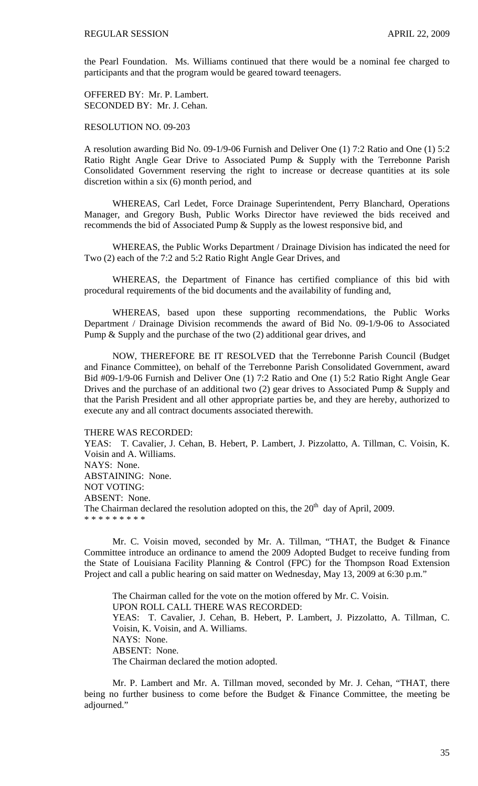the Pearl Foundation. Ms. Williams continued that there would be a nominal fee charged to participants and that the program would be geared toward teenagers.

OFFERED BY: Mr. P. Lambert. SECONDED BY: Mr. J. Cehan.

RESOLUTION NO. 09-203

A resolution awarding Bid No. 09-1/9-06 Furnish and Deliver One (1) 7:2 Ratio and One (1) 5:2 Ratio Right Angle Gear Drive to Associated Pump & Supply with the Terrebonne Parish Consolidated Government reserving the right to increase or decrease quantities at its sole discretion within a six (6) month period, and

 WHEREAS, Carl Ledet, Force Drainage Superintendent, Perry Blanchard, Operations Manager, and Gregory Bush, Public Works Director have reviewed the bids received and recommends the bid of Associated Pump & Supply as the lowest responsive bid, and

 WHEREAS, the Public Works Department / Drainage Division has indicated the need for Two (2) each of the 7:2 and 5:2 Ratio Right Angle Gear Drives, and

 WHEREAS, the Department of Finance has certified compliance of this bid with procedural requirements of the bid documents and the availability of funding and,

 WHEREAS, based upon these supporting recommendations, the Public Works Department / Drainage Division recommends the award of Bid No. 09-1/9-06 to Associated Pump & Supply and the purchase of the two (2) additional gear drives, and

 NOW, THEREFORE BE IT RESOLVED that the Terrebonne Parish Council (Budget and Finance Committee), on behalf of the Terrebonne Parish Consolidated Government, award Bid #09-1/9-06 Furnish and Deliver One (1) 7:2 Ratio and One (1) 5:2 Ratio Right Angle Gear Drives and the purchase of an additional two (2) gear drives to Associated Pump & Supply and that the Parish President and all other appropriate parties be, and they are hereby, authorized to execute any and all contract documents associated therewith.

THERE WAS RECORDED:

YEAS: T. Cavalier, J. Cehan, B. Hebert, P. Lambert, J. Pizzolatto, A. Tillman, C. Voisin, K. Voisin and A. Williams. NAYS: None. ABSTAINING: None. NOT VOTING: ABSENT: None. The Chairman declared the resolution adopted on this, the  $20<sup>th</sup>$  day of April, 2009. \* \* \* \* \* \* \* \* \*

 Mr. C. Voisin moved, seconded by Mr. A. Tillman, "THAT, the Budget & Finance Committee introduce an ordinance to amend the 2009 Adopted Budget to receive funding from the State of Louisiana Facility Planning & Control (FPC) for the Thompson Road Extension Project and call a public hearing on said matter on Wednesday, May 13, 2009 at 6:30 p.m."

 The Chairman called for the vote on the motion offered by Mr. C. Voisin. UPON ROLL CALL THERE WAS RECORDED: YEAS: T. Cavalier, J. Cehan, B. Hebert, P. Lambert, J. Pizzolatto, A. Tillman, C. Voisin, K. Voisin, and A. Williams. NAYS: None. ABSENT: None. The Chairman declared the motion adopted.

 Mr. P. Lambert and Mr. A. Tillman moved, seconded by Mr. J. Cehan, "THAT, there being no further business to come before the Budget & Finance Committee, the meeting be adjourned."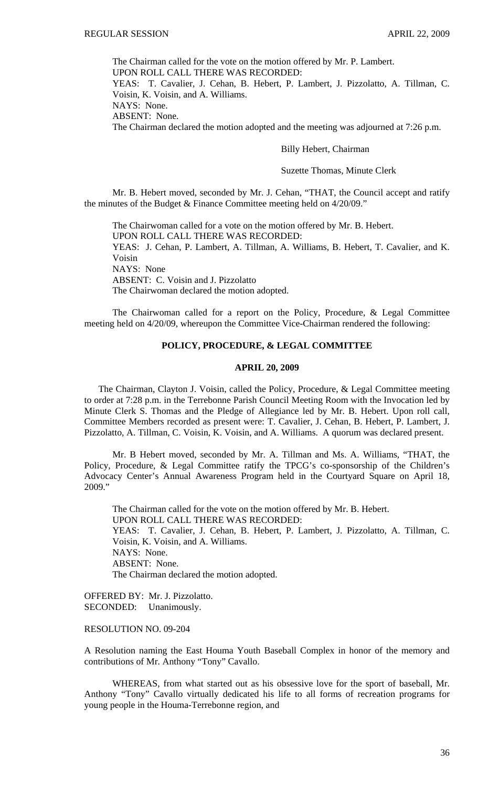The Chairman called for the vote on the motion offered by Mr. P. Lambert.

UPON ROLL CALL THERE WAS RECORDED:

YEAS: T. Cavalier, J. Cehan, B. Hebert, P. Lambert, J. Pizzolatto, A. Tillman, C. Voisin, K. Voisin, and A. Williams.

NAYS: None.

ABSENT: None.

The Chairman declared the motion adopted and the meeting was adjourned at 7:26 p.m.

## Billy Hebert, Chairman

## Suzette Thomas, Minute Clerk

 Mr. B. Hebert moved, seconded by Mr. J. Cehan, "THAT, the Council accept and ratify the minutes of the Budget & Finance Committee meeting held on 4/20/09."

 The Chairwoman called for a vote on the motion offered by Mr. B. Hebert. UPON ROLL CALL THERE WAS RECORDED: YEAS: J. Cehan, P. Lambert, A. Tillman, A. Williams, B. Hebert, T. Cavalier, and K. Voisin NAYS: None ABSENT: C. Voisin and J. Pizzolatto The Chairwoman declared the motion adopted.

 The Chairwoman called for a report on the Policy, Procedure, & Legal Committee meeting held on 4/20/09, whereupon the Committee Vice-Chairman rendered the following:

# **POLICY, PROCEDURE, & LEGAL COMMITTEE**

#### **APRIL 20, 2009**

 The Chairman, Clayton J. Voisin, called the Policy, Procedure, & Legal Committee meeting to order at 7:28 p.m. in the Terrebonne Parish Council Meeting Room with the Invocation led by Minute Clerk S. Thomas and the Pledge of Allegiance led by Mr. B. Hebert. Upon roll call, Committee Members recorded as present were: T. Cavalier, J. Cehan, B. Hebert, P. Lambert, J. Pizzolatto, A. Tillman, C. Voisin, K. Voisin, and A. Williams. A quorum was declared present.

 Mr. B Hebert moved, seconded by Mr. A. Tillman and Ms. A. Williams, "THAT, the Policy, Procedure, & Legal Committee ratify the TPCG's co-sponsorship of the Children's Advocacy Center's Annual Awareness Program held in the Courtyard Square on April 18, 2009."

 The Chairman called for the vote on the motion offered by Mr. B. Hebert. UPON ROLL CALL THERE WAS RECORDED: YEAS: T. Cavalier, J. Cehan, B. Hebert, P. Lambert, J. Pizzolatto, A. Tillman, C. Voisin, K. Voisin, and A. Williams. NAYS: None. ABSENT: None. The Chairman declared the motion adopted.

OFFERED BY: Mr. J. Pizzolatto. SECONDED: Unanimously.

## RESOLUTION NO. 09-204

A Resolution naming the East Houma Youth Baseball Complex in honor of the memory and contributions of Mr. Anthony "Tony" Cavallo.

 WHEREAS, from what started out as his obsessive love for the sport of baseball, Mr. Anthony "Tony" Cavallo virtually dedicated his life to all forms of recreation programs for young people in the Houma-Terrebonne region, and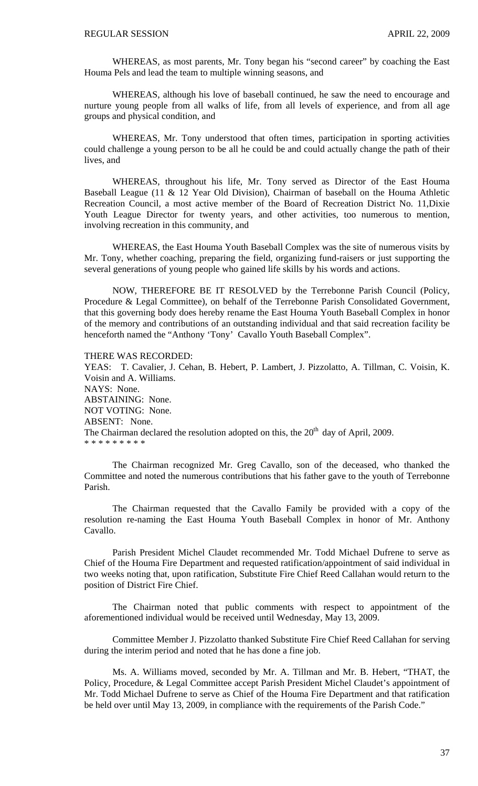WHEREAS, as most parents, Mr. Tony began his "second career" by coaching the East Houma Pels and lead the team to multiple winning seasons, and

 WHEREAS, although his love of baseball continued, he saw the need to encourage and nurture young people from all walks of life, from all levels of experience, and from all age groups and physical condition, and

 WHEREAS, Mr. Tony understood that often times, participation in sporting activities could challenge a young person to be all he could be and could actually change the path of their lives, and

 WHEREAS, throughout his life, Mr. Tony served as Director of the East Houma Baseball League (11 & 12 Year Old Division), Chairman of baseball on the Houma Athletic Recreation Council, a most active member of the Board of Recreation District No. 11,Dixie Youth League Director for twenty years, and other activities, too numerous to mention, involving recreation in this community, and

 WHEREAS, the East Houma Youth Baseball Complex was the site of numerous visits by Mr. Tony, whether coaching, preparing the field, organizing fund-raisers or just supporting the several generations of young people who gained life skills by his words and actions.

 NOW, THEREFORE BE IT RESOLVED by the Terrebonne Parish Council (Policy, Procedure & Legal Committee), on behalf of the Terrebonne Parish Consolidated Government, that this governing body does hereby rename the East Houma Youth Baseball Complex in honor of the memory and contributions of an outstanding individual and that said recreation facility be henceforth named the "Anthony 'Tony' Cavallo Youth Baseball Complex".

THERE WAS RECORDED:

YEAS: T. Cavalier, J. Cehan, B. Hebert, P. Lambert, J. Pizzolatto, A. Tillman, C. Voisin, K. Voisin and A. Williams. NAYS: None. ABSTAINING: None. NOT VOTING: None. ABSENT: None. The Chairman declared the resolution adopted on this, the  $20<sup>th</sup>$  day of April, 2009. \* \* \* \* \* \* \* \*

 The Chairman recognized Mr. Greg Cavallo, son of the deceased, who thanked the Committee and noted the numerous contributions that his father gave to the youth of Terrebonne Parish.

 The Chairman requested that the Cavallo Family be provided with a copy of the resolution re-naming the East Houma Youth Baseball Complex in honor of Mr. Anthony Cavallo.

 Parish President Michel Claudet recommended Mr. Todd Michael Dufrene to serve as Chief of the Houma Fire Department and requested ratification/appointment of said individual in two weeks noting that, upon ratification, Substitute Fire Chief Reed Callahan would return to the position of District Fire Chief.

 The Chairman noted that public comments with respect to appointment of the aforementioned individual would be received until Wednesday, May 13, 2009.

 Committee Member J. Pizzolatto thanked Substitute Fire Chief Reed Callahan for serving during the interim period and noted that he has done a fine job.

 Ms. A. Williams moved, seconded by Mr. A. Tillman and Mr. B. Hebert, "THAT, the Policy, Procedure, & Legal Committee accept Parish President Michel Claudet's appointment of Mr. Todd Michael Dufrene to serve as Chief of the Houma Fire Department and that ratification be held over until May 13, 2009, in compliance with the requirements of the Parish Code."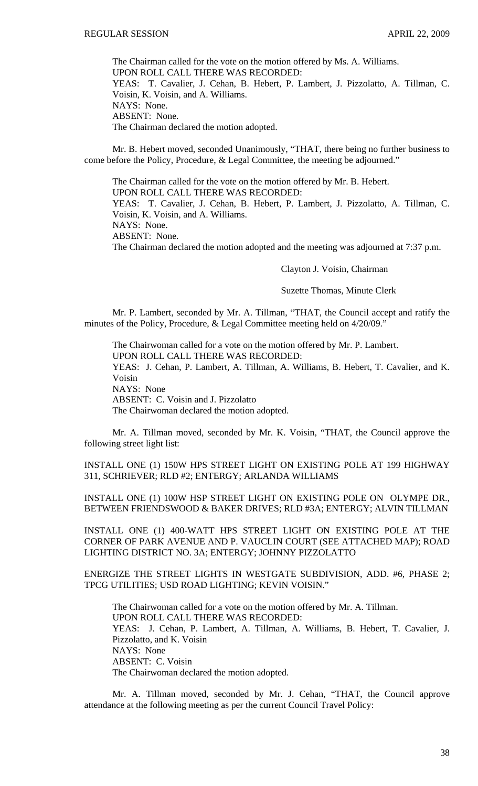The Chairman called for the vote on the motion offered by Ms. A. Williams. UPON ROLL CALL THERE WAS RECORDED: YEAS: T. Cavalier, J. Cehan, B. Hebert, P. Lambert, J. Pizzolatto, A. Tillman, C. Voisin, K. Voisin, and A. Williams. NAYS: None. ABSENT: None. The Chairman declared the motion adopted.

 Mr. B. Hebert moved, seconded Unanimously, "THAT, there being no further business to come before the Policy, Procedure, & Legal Committee, the meeting be adjourned."

 The Chairman called for the vote on the motion offered by Mr. B. Hebert. UPON ROLL CALL THERE WAS RECORDED: YEAS: T. Cavalier, J. Cehan, B. Hebert, P. Lambert, J. Pizzolatto, A. Tillman, C. Voisin, K. Voisin, and A. Williams. NAYS: None. ABSENT: None. The Chairman declared the motion adopted and the meeting was adjourned at 7:37 p.m.

Clayton J. Voisin, Chairman

#### Suzette Thomas, Minute Clerk

Mr. P. Lambert, seconded by Mr. A. Tillman, "THAT, the Council accept and ratify the minutes of the Policy, Procedure, & Legal Committee meeting held on 4/20/09."

 The Chairwoman called for a vote on the motion offered by Mr. P. Lambert. UPON ROLL CALL THERE WAS RECORDED: YEAS: J. Cehan, P. Lambert, A. Tillman, A. Williams, B. Hebert, T. Cavalier, and K. Voisin NAYS: None ABSENT: C. Voisin and J. Pizzolatto The Chairwoman declared the motion adopted.

 Mr. A. Tillman moved, seconded by Mr. K. Voisin, "THAT, the Council approve the following street light list:

INSTALL ONE (1) 150W HPS STREET LIGHT ON EXISTING POLE AT 199 HIGHWAY 311, SCHRIEVER; RLD #2; ENTERGY; ARLANDA WILLIAMS

INSTALL ONE (1) 100W HSP STREET LIGHT ON EXISTING POLE ON OLYMPE DR., BETWEEN FRIENDSWOOD & BAKER DRIVES; RLD #3A; ENTERGY; ALVIN TILLMAN

INSTALL ONE (1) 400-WATT HPS STREET LIGHT ON EXISTING POLE AT THE CORNER OF PARK AVENUE AND P. VAUCLIN COURT (SEE ATTACHED MAP); ROAD LIGHTING DISTRICT NO. 3A; ENTERGY; JOHNNY PIZZOLATTO

ENERGIZE THE STREET LIGHTS IN WESTGATE SUBDIVISION, ADD. #6, PHASE 2; TPCG UTILITIES; USD ROAD LIGHTING; KEVIN VOISIN."

The Chairwoman called for a vote on the motion offered by Mr. A. Tillman. UPON ROLL CALL THERE WAS RECORDED: YEAS: J. Cehan, P. Lambert, A. Tillman, A. Williams, B. Hebert, T. Cavalier, J. Pizzolatto, and K. Voisin NAYS: None ABSENT: C. Voisin The Chairwoman declared the motion adopted.

 Mr. A. Tillman moved, seconded by Mr. J. Cehan, "THAT, the Council approve attendance at the following meeting as per the current Council Travel Policy: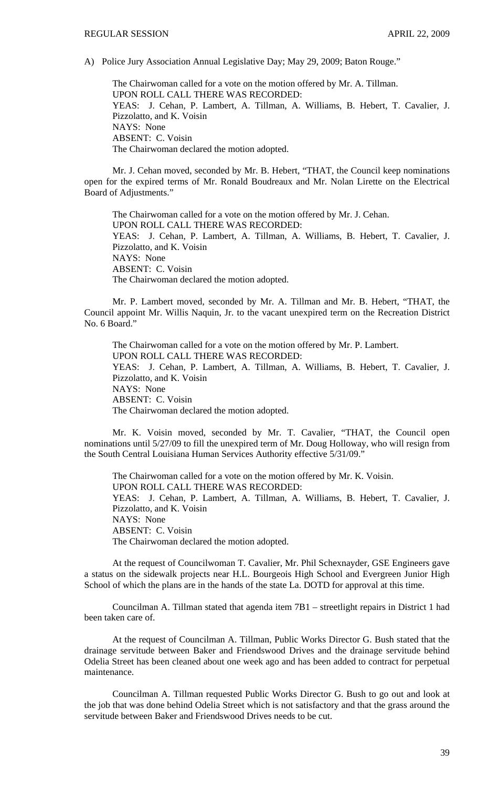A) Police Jury Association Annual Legislative Day; May 29, 2009; Baton Rouge."

 The Chairwoman called for a vote on the motion offered by Mr. A. Tillman. UPON ROLL CALL THERE WAS RECORDED: YEAS: J. Cehan, P. Lambert, A. Tillman, A. Williams, B. Hebert, T. Cavalier, J. Pizzolatto, and K. Voisin NAYS: None ABSENT: C. Voisin The Chairwoman declared the motion adopted.

 Mr. J. Cehan moved, seconded by Mr. B. Hebert, "THAT, the Council keep nominations open for the expired terms of Mr. Ronald Boudreaux and Mr. Nolan Lirette on the Electrical Board of Adjustments."

 The Chairwoman called for a vote on the motion offered by Mr. J. Cehan. UPON ROLL CALL THERE WAS RECORDED: YEAS: J. Cehan, P. Lambert, A. Tillman, A. Williams, B. Hebert, T. Cavalier, J. Pizzolatto, and K. Voisin NAYS: None ABSENT: C. Voisin The Chairwoman declared the motion adopted.

Mr. P. Lambert moved, seconded by Mr. A. Tillman and Mr. B. Hebert, "THAT, the Council appoint Mr. Willis Naquin, Jr. to the vacant unexpired term on the Recreation District No. 6 Board."

The Chairwoman called for a vote on the motion offered by Mr. P. Lambert. UPON ROLL CALL THERE WAS RECORDED: YEAS: J. Cehan, P. Lambert, A. Tillman, A. Williams, B. Hebert, T. Cavalier, J. Pizzolatto, and K. Voisin NAYS: None ABSENT: C. Voisin The Chairwoman declared the motion adopted.

 Mr. K. Voisin moved, seconded by Mr. T. Cavalier, "THAT, the Council open nominations until 5/27/09 to fill the unexpired term of Mr. Doug Holloway, who will resign from the South Central Louisiana Human Services Authority effective 5/31/09."

 The Chairwoman called for a vote on the motion offered by Mr. K. Voisin. UPON ROLL CALL THERE WAS RECORDED: YEAS: J. Cehan, P. Lambert, A. Tillman, A. Williams, B. Hebert, T. Cavalier, J. Pizzolatto, and K. Voisin NAYS: None ABSENT: C. Voisin The Chairwoman declared the motion adopted.

 At the request of Councilwoman T. Cavalier, Mr. Phil Schexnayder, GSE Engineers gave a status on the sidewalk projects near H.L. Bourgeois High School and Evergreen Junior High School of which the plans are in the hands of the state La. DOTD for approval at this time.

Councilman A. Tillman stated that agenda item 7B1 – streetlight repairs in District 1 had been taken care of.

 At the request of Councilman A. Tillman, Public Works Director G. Bush stated that the drainage servitude between Baker and Friendswood Drives and the drainage servitude behind Odelia Street has been cleaned about one week ago and has been added to contract for perpetual maintenance.

 Councilman A. Tillman requested Public Works Director G. Bush to go out and look at the job that was done behind Odelia Street which is not satisfactory and that the grass around the servitude between Baker and Friendswood Drives needs to be cut.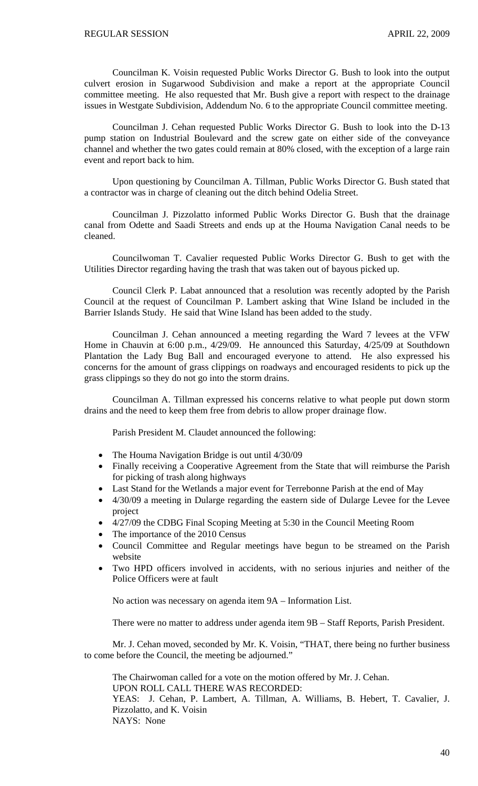Councilman K. Voisin requested Public Works Director G. Bush to look into the output culvert erosion in Sugarwood Subdivision and make a report at the appropriate Council committee meeting. He also requested that Mr. Bush give a report with respect to the drainage issues in Westgate Subdivision, Addendum No. 6 to the appropriate Council committee meeting.

 Councilman J. Cehan requested Public Works Director G. Bush to look into the D-13 pump station on Industrial Boulevard and the screw gate on either side of the conveyance channel and whether the two gates could remain at 80% closed, with the exception of a large rain event and report back to him.

 Upon questioning by Councilman A. Tillman, Public Works Director G. Bush stated that a contractor was in charge of cleaning out the ditch behind Odelia Street.

 Councilman J. Pizzolatto informed Public Works Director G. Bush that the drainage canal from Odette and Saadi Streets and ends up at the Houma Navigation Canal needs to be cleaned.

 Councilwoman T. Cavalier requested Public Works Director G. Bush to get with the Utilities Director regarding having the trash that was taken out of bayous picked up.

 Council Clerk P. Labat announced that a resolution was recently adopted by the Parish Council at the request of Councilman P. Lambert asking that Wine Island be included in the Barrier Islands Study. He said that Wine Island has been added to the study.

 Councilman J. Cehan announced a meeting regarding the Ward 7 levees at the VFW Home in Chauvin at 6:00 p.m., 4/29/09. He announced this Saturday, 4/25/09 at Southdown Plantation the Lady Bug Ball and encouraged everyone to attend. He also expressed his concerns for the amount of grass clippings on roadways and encouraged residents to pick up the grass clippings so they do not go into the storm drains.

 Councilman A. Tillman expressed his concerns relative to what people put down storm drains and the need to keep them free from debris to allow proper drainage flow.

Parish President M. Claudet announced the following:

- The Houma Navigation Bridge is out until 4/30/09
- Finally receiving a Cooperative Agreement from the State that will reimburse the Parish for picking of trash along highways
- Last Stand for the Wetlands a major event for Terrebonne Parish at the end of May
- 4/30/09 a meeting in Dularge regarding the eastern side of Dularge Levee for the Levee project
- 4/27/09 the CDBG Final Scoping Meeting at 5:30 in the Council Meeting Room
- The importance of the 2010 Census
- Council Committee and Regular meetings have begun to be streamed on the Parish website
- Two HPD officers involved in accidents, with no serious injuries and neither of the Police Officers were at fault

No action was necessary on agenda item 9A – Information List.

There were no matter to address under agenda item 9B – Staff Reports, Parish President.

 Mr. J. Cehan moved, seconded by Mr. K. Voisin, "THAT, there being no further business to come before the Council, the meeting be adjourned."

 The Chairwoman called for a vote on the motion offered by Mr. J. Cehan. UPON ROLL CALL THERE WAS RECORDED: YEAS: J. Cehan, P. Lambert, A. Tillman, A. Williams, B. Hebert, T. Cavalier, J. Pizzolatto, and K. Voisin NAYS: None